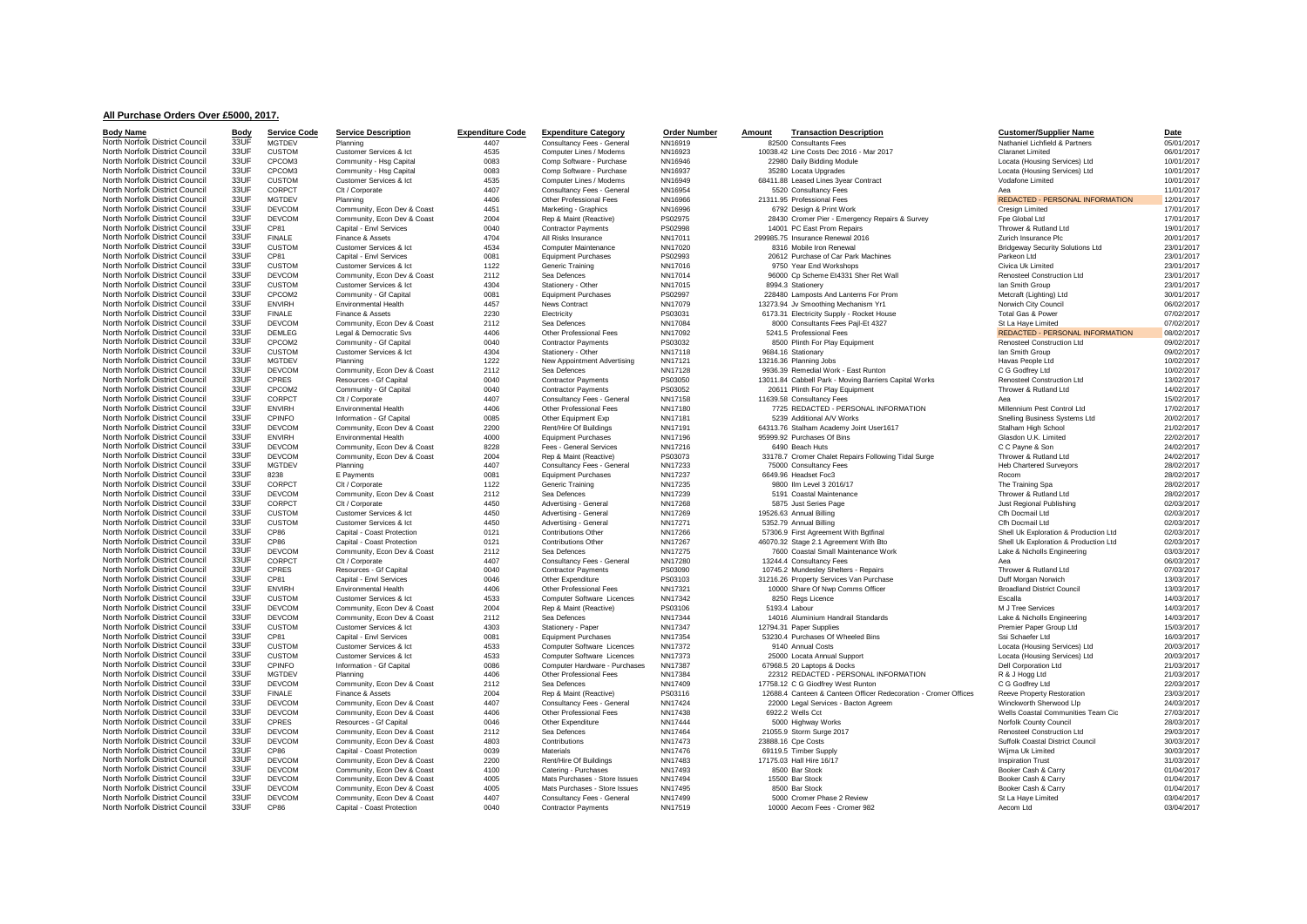## **All Purchase Orders Over £5000, 2017.**

| <b>Body Name</b>               | Body | <b>Service Code</b> | <b>Service Description</b>  | <b>Expenditure Code</b> | <b>Expenditure Category</b>   | <b>Order Number</b> | <b>Transaction Description</b><br>Amount                        | <b>Customer/Supplier Name</b>           | Date       |
|--------------------------------|------|---------------------|-----------------------------|-------------------------|-------------------------------|---------------------|-----------------------------------------------------------------|-----------------------------------------|------------|
| North Norfolk District Council | 33UF | <b>MGTDEV</b>       | Planning                    | 4407                    | Consultancy Fees - General    | NN16919             | 82500 Consultants Fees                                          | Nathaniel Lichfield & Partners          | 05/01/2017 |
| North Norfolk District Council | 33UF | <b>CUSTOM</b>       | Customer Services & Ict     | 4535                    | Computer Lines / Modems       | NN16923             | 10038.42 Line Costs Dec 2016 - Mar 2017                         | <b>Claranet Limited</b>                 | 06/01/2017 |
| North Norfolk District Council | 33UF | CPCOM3              | Community - Hsg Capital     | 0083                    | Comp Software - Purchase      | NN16946             | 22980 Daily Bidding Module                                      | Locata (Housing Services) Ltd           | 10/01/2017 |
| North Norfolk District Council | 33UF | CPCOM3              | Community - Hsg Capital     | 0083                    | Comp Software - Purchase      | NN16937             | 35280 Locata Upgrades                                           | Locata (Housing Services) Ltd           | 10/01/2017 |
| North Norfolk District Council | 33UF | <b>CUSTOM</b>       | Customer Services & Ict     | 4535                    | Computer Lines / Modems       | NN16949             | 68411.88 Leased Lines 3year Contract                            | Vodafone Limited                        | 10/01/2017 |
| North Norfolk District Council | 33UF | CORPCT              |                             | 4407                    |                               |                     |                                                                 | Aea                                     |            |
|                                | 33UF |                     | Clt / Corporate             |                         | Consultancy Fees - General    | NN16954             | 5520 Consultancy Fees                                           |                                         | 11/01/2017 |
| North Norfolk District Council |      | <b>MGTDEV</b>       | Planning                    | 4406                    | Other Professional Fees       | NN16966             | 21311.95 Professional Fees                                      | <b>REDACTED - PERSONAL INFORMATION</b>  | 12/01/2017 |
| North Norfolk District Council | 33UF | DEVCOM              | Community, Econ Dev & Coast | 4451                    | Marketing - Graphics          | NN16996             | 6792 Design & Print Work                                        | <b>Cresign Limited</b>                  | 17/01/2017 |
| North Norfolk District Council | 33UF | <b>DEVCOM</b>       | Community, Econ Dev & Coast | 2004                    | Rep & Maint (Reactive)        | PS02975             | 28430 Cromer Pier - Emergency Repairs & Survey                  | Fpe Global Ltd                          | 17/01/2017 |
| North Norfolk District Council | 33UF | CP81                | Capital - Envl Services     | 0040                    | <b>Contractor Payments</b>    | PS02998             | 14001 PC East Prom Repairs                                      | Thrower & Rutland Ltd                   | 19/01/2017 |
| North Norfolk District Council | 33UF | <b>FINALE</b>       | Finance & Assets            | 4704                    | All Risks Insurance           | NN17011             | 299985.75 Insurance Renewal 2016                                | Zurich Insurance Plc                    | 20/01/2017 |
| North Norfolk District Council | 33UF | <b>CUSTOM</b>       | Customer Services & Ict     | 4534                    | Computer Maintenance          | NN17020             | 8316 Mobile Iron Renewal                                        | <b>Bridgeway Security Solutions Ltd</b> | 23/01/2017 |
| North Norfolk District Council | 33UF | CP81                | Capital - Envl Services     | 0081                    | <b>Equipment Purchases</b>    | PS02993             | 20612 Purchase of Car Park Machines                             | Parkeon Ltd                             | 23/01/2017 |
| North Norfolk District Council | 33UF | <b>CUSTOM</b>       | Customer Services & Ict     | 1122                    | Generic Training              | NN17016             | 9750 Year End Workshops                                         | Civica Uk Limited                       | 23/01/2017 |
| North Norfolk District Council | 33UF | <b>DEVCOM</b>       | Community, Econ Dev & Coast | 2112                    | Sea Defences                  | NN17014             | 96000 Cp Scheme Et4331 Sher Ret Wall                            | <b>Renosteel Construction Ltd</b>       | 23/01/2017 |
| North Norfolk District Council | 33UF | <b>CUSTOM</b>       | Customer Services & Ict     | 4304                    | Stationery - Other            | NN17015             | 8994.3 Stationerv                                               | Ian Smith Group                         | 23/01/2017 |
| North Norfolk District Council | 33UF | CPCOM2              | Community - Gf Capital      | 0081                    | <b>Equipment Purchases</b>    | PS02997             | 228480 Lamposts And Lanterns For Prom                           | Metcraft (Lighting) Ltd                 | 30/01/2017 |
| North Norfolk District Council | 33UF | ENVIRH              | <b>Environmental Health</b> | 4457                    | <b>News Contract</b>          | NN17079             | 13273.94 Jv Smoothing Mechanism Yr1                             | Norwich City Council                    | 06/02/2017 |
| North Norfolk District Council | 33UF | <b>FINALE</b>       | Finance & Assets            | 2230                    | Electricity                   | PS03031             | 6173.31 Electricity Supply - Rocket House                       | Total Gas & Power                       | 07/02/2017 |
| North Norfolk District Council | 33UF | <b>DEVCOM</b>       | Community, Econ Dev & Coast | 2112                    | Sea Defences                  | NN17084             | 8000 Consultants Fees Pajl-Et 4327                              | St La Haye Limited                      | 07/02/2017 |
| North Norfolk District Council | 33UF | <b>DEMLEG</b>       | Legal & Democratic Svs      | 4406                    | Other Professional Fees       | NN17092             | 5241.5 Professional Fees                                        | <b>REDACTED - PERSONAL INFORMATION</b>  | 08/02/2017 |
| North Norfolk District Council | 33UF | CPCOM2              | Community - Gf Capital      | 0040                    | <b>Contractor Payments</b>    | PS03032             | 8500 Plinth For Play Equipment                                  | Renosteel Construction Ltd              | 09/02/2017 |
| North Norfolk District Council | 33UF | <b>CUSTOM</b>       | Customer Services & Ict     | 4304                    | Stationery - Other            | NN17118             | 9684.16 Stationary                                              | Ian Smith Group                         | 09/02/2017 |
| North Norfolk District Council | 33UF | <b>MGTDEV</b>       | Planning                    | 1222                    | New Appointment Advertising   | NN17121             | 13216.36 Planning Jobs                                          | Havas People Ltd                        | 10/02/2017 |
| North Norfolk District Council | 33UF | <b>DEVCOM</b>       | Community, Econ Dev & Coast | 2112                    | Sea Defences                  | NN17128             | 9936.39 Remedial Work - East Runton                             | C G Godfrey Ltd                         | 10/02/2017 |
| North Norfolk District Council | 33UF | CPRES               | Resources - Gf Capital      | 0040                    | <b>Contractor Payments</b>    | PS03050             | 13011.84 Cabbell Park - Moving Barriers Capital Works           | Renosteel Construction Ltd              | 13/02/2017 |
| North Norfolk District Council | 33UF | CPCOM2              | Community - Gf Capital      | 0040                    | <b>Contractor Payments</b>    | PS03052             | 20611 Plinth For Play Equipment                                 | Thrower & Rutland Ltd                   | 14/02/2017 |
| North Norfolk District Council | 33UF | CORPCT              | Clt / Corporate             | 4407                    | Consultancy Fees - General    | NN17158             | 11639.58 Consultancy Fees                                       | Aes                                     | 15/02/2017 |
| North Norfolk District Council | 33UF | <b>ENVIRH</b>       | <b>Environmental Health</b> | 4406                    | Other Professional Fees       | NN17180             | 7725 REDACTED - PERSONAL INFORMATION                            | Millennium Pest Control Ltd             | 17/02/2017 |
|                                | 33UF |                     |                             |                         |                               |                     |                                                                 |                                         |            |
| North Norfolk District Council |      | CPINFO              | Information - Gf Capital    | 0085                    | Other Equipment Exp           | NN17181             | 5239 Additional A/V Works                                       | Snelling Business Systems Ltd           | 20/02/2017 |
| North Norfolk District Council | 33UF | DEVCOM              | Community, Econ Dev & Coast | 2200                    | Rent/Hire Of Buildings        | NN17191             | 64313.76 Stalham Academy Joint User1617                         | Stalham High School                     | 21/02/2017 |
| North Norfolk District Council | 33UF | <b>ENVIRH</b>       | <b>Environmental Health</b> | 4000                    | <b>Equipment Purchases</b>    | NN17196             | 95999.92 Purchases Of Bins                                      | Glasdon U.K. Limited                    | 22/02/2017 |
| North Norfolk District Council | 33UF | <b>DEVCOM</b>       | Community, Econ Dev & Coast | 8228                    | Fees - General Services       | NN17216             | 6490 Beach Huts                                                 | C C Payne & Son                         | 24/02/2017 |
| North Norfolk District Council | 33UF | <b>DEVCOM</b>       | Community, Econ Dev & Coast | 2004                    | Rep & Maint (Reactive)        | PS03073             | 33178.7 Cromer Chalet Repairs Following Tidal Surge             | Thrower & Rutland Ltd                   | 24/02/2017 |
| North Norfolk District Council | 33UF | <b>MGTDEV</b>       | Planning                    | 4407                    | Consultancy Fees - General    | NN17233             | 75000 Consultancy Fees                                          | <b>Heb Chartered Surveyors</b>          | 28/02/2017 |
| North Norfolk District Council | 33UF | 8238                | E Payments                  | 0081                    | <b>Equipment Purchases</b>    | NN17237             | 6649.96 Headset Foc3                                            | Rocom                                   | 28/02/2017 |
| North Norfolk District Council | 33UF | CORPCT              | Clt / Corporate             | 1122                    | Generic Training              | NN17235             | 9800 Ilm Level 3 2016/17                                        | The Training Spa                        | 28/02/2017 |
| North Norfolk District Council | 33UF | DEVCOM              | Community, Econ Dev & Coast | 2112                    | Sea Defences                  | NN17239             | 5191 Coastal Maintenance                                        | Thrower & Rutland Ltd                   | 28/02/2017 |
| North Norfolk District Council | 33UF | CORPCT              | Clt / Corporate             | 4450                    | Advertising - General         | NN17268             | 5875 Just Series Page                                           | Just Regional Publishing                | 02/03/2017 |
| North Norfolk District Council | 33UF | <b>CUSTOM</b>       | Customer Services & Ict     | 4450                    | Advertising - General         | NN17269             | 19526.63 Annual Billing                                         | Cfh Docmail Ltd                         | 02/03/2017 |
| North Norfolk District Council | 33UF | <b>CUSTOM</b>       | Customer Services & Ict     | 4450                    | Advertising - General         | NN17271             | 5352.79 Annual Billing                                          | Cfh Docmail Ltd                         | 02/03/2017 |
| North Norfolk District Council | 33UF | CP86                | Capital - Coast Protection  | 0121                    | Contributions Other           | NN17266             | 57306.9 First Agreement With Bgtfinal                           | Shell Uk Exploration & Production Ltd   | 02/03/2017 |
| North Norfolk District Council | 33UF | CP86                | Capital - Coast Protection  | 0121                    | <b>Contributions Other</b>    | NN17267             | 46070.32 Stage 2.1 Agreement With Bto                           | Shell Uk Exploration & Production Ltd   | 02/03/2017 |
| North Norfolk District Council | 33UF | <b>DEVCOM</b>       | Community, Econ Dev & Coast | 2112                    | Sea Defences                  | NN17275             | 7600 Coastal Small Maintenance Work                             | Lake & Nicholls Engineering             | 03/03/2017 |
| North Norfolk District Council | 33UF | CORPCT              | Clt / Corporate             | 4407                    | Consultancy Fees - General    | NN17280             | 13244.4 Consultancy Fees                                        | Aea                                     | 06/03/2017 |
| North Norfolk District Council | 33UF | CPRES               | Resources - Gf Capital      | 0040                    | <b>Contractor Payments</b>    | PS03090             | 10745.2 Mundesley Shelters - Repairs                            | Thrower & Rutland Ltd                   | 07/03/2017 |
| North Norfolk District Council | 33UF | CP81                | Capital - Envl Services     | 0046                    | Other Expenditure             | PS03103             | 31216.26 Property Services Van Purchase                         | Duff Morgan Norwich                     | 13/03/2017 |
| North Norfolk District Council | 33UF | <b>ENVIRH</b>       | <b>Environmental Health</b> | 4406                    | Other Professional Fees       | NN17321             | 10000 Share Of Nwp Comms Officer                                | <b>Broadland District Council</b>       | 13/03/2017 |
| North Norfolk District Council | 33UF | <b>CUSTOM</b>       | Customer Services & Ict     | 4533                    | Computer Software Licences    | NN17342             | 8250 Regs Licence                                               | Escalla                                 | 14/03/2017 |
| North Norfolk District Council | 33UF | <b>DEVCOM</b>       | Community, Econ Dev & Coast | 2004                    | Rep & Maint (Reactive)        | PS03106             | 5193.4 Labour                                                   | M J Tree Services                       | 14/03/2017 |
| North Norfolk District Council | 33UF | DEVCOM              | Community, Econ Dev & Coast | 2112                    | Sea Defences                  | NN17344             | 14016 Aluminium Handrail Standards                              | Lake & Nicholls Engineering             | 14/03/2017 |
| North Norfolk District Council | 33UF | <b>CUSTOM</b>       | Customer Services & Ict     | 4303                    | Stationery - Paper            | NN17347             | 12794.31 Paper Supplies                                         | Premier Paper Group Ltd                 | 15/03/2017 |
| North Norfolk District Council | 33UF | CP81                | Capital - Envl Services     | 0081                    | <b>Equipment Purchases</b>    | NN17354             | 53230.4 Purchases Of Wheeled Bins                               | Ssi Schaefer Ltd                        | 16/03/2017 |
|                                | 33UF |                     |                             |                         |                               |                     |                                                                 |                                         |            |
| North Norfolk District Council |      | <b>CUSTOM</b>       | Customer Services & Ict     | 4533                    | Computer Software Licences    | NN17372             | 9140 Annual Costs                                               | Locata (Housing Services) Ltd           | 20/03/2017 |
| North Norfolk District Council | 33UF | <b>CUSTOM</b>       | Customer Services & Ict     | 4533                    | Computer Software Licences    | NN17373             | 25000 Locata Annual Support                                     | Locata (Housing Services) Ltd           | 20/03/2017 |
| North Norfolk District Council | 33UF | <b>CPINFO</b>       | Information - Gf Capital    | 0086                    | Computer Hardware - Purchases | NN17387             | 67968.5 20 Laptops & Docks                                      | Dell Corporation Ltd                    | 21/03/2017 |
| North Norfolk District Council | 33UF | MGTDEV              | Planning                    | 4406                    | Other Professional Fees       | NN17384             | 22312 REDACTED - PERSONAL INFORMATION                           | R & J Hogg Ltd                          | 21/03/2017 |
| North Norfolk District Council | 33UF | DEVCOM              | Community, Econ Dev & Coast | 2112                    | Sea Defences                  | NN17409             | 17758.12 C G Giodfrey West Runton                               | C G Godfrey Ltd                         | 22/03/2017 |
| North Norfolk District Council | 33UF | <b>FINALE</b>       | Finance & Assets            | 2004                    | Rep & Maint (Reactive)        | PS03116             | 12688.4 Canteen & Canteen Officer Redecoration - Cromer Offices | Reeve Property Restoration              | 23/03/2017 |
| North Norfolk District Council | 33UF | <b>DEVCOM</b>       | Community, Econ Dev & Coast | 4407                    | Consultancy Fees - General    | NN17424             | 22000 Legal Services - Bacton Agreem                            | Winckworth Sherwood Llp                 | 24/03/2017 |
| North Norfolk District Council | 33UF | <b>DEVCOM</b>       | Community, Econ Dev & Coast | 4406                    | Other Professional Fees       | NN17438             | 6922.2 Wells Cct                                                | Wells Coastal Communities Team Cic      | 27/03/2017 |
| North Norfolk District Council | 33UF | <b>CPRES</b>        | Resources - Gf Capital      | 0046                    | Other Expenditure             | NN17444             | 5000 Highway Works                                              | Norfolk County Council                  | 28/03/2017 |
| North Norfolk District Council | 33UF | <b>DEVCOM</b>       | Community, Econ Dev & Coast | 2112                    | Sea Defences                  | NN17464             | 21055.9 Storm Surge 2017                                        | Renosteel Construction Ltd              | 29/03/2017 |
| North Norfolk District Council | 33UF | <b>DEVCOM</b>       | Community, Econ Dev & Coast | 4803                    | Contributions                 | NN17473             | 23888.16 Cpe Costs                                              | Suffolk Coastal District Council        | 30/03/2017 |
| North Norfolk District Council | 33UF | CP86                | Capital - Coast Protection  | 0039                    | <b>Materials</b>              | NN17476             | 69119.5 Timber Supply                                           | Wijma Uk Limited                        | 30/03/2017 |
| North Norfolk District Council | 33UF | <b>DEVCOM</b>       | Community, Econ Dev & Coast | 2200                    | Rent/Hire Of Buildings        | NN17483             | 17175.03 Hall Hire 16/17                                        | <b>Inspiration Trust</b>                | 31/03/2017 |
| North Norfolk District Council | 33UF | <b>DEVCOM</b>       | Community, Econ Dev & Coast | 4100                    | Catering - Purchases          | NN17493             | 8500 Bar Stock                                                  | Booker Cash & Carry                     | 01/04/2017 |
| North Norfolk District Council | 33UF | <b>DEVCOM</b>       | Community, Econ Dev & Coast | 4005                    | Mats Purchases - Store Issues | NN17494             | 15500 Bar Stock                                                 | Booker Cash & Carry                     | 01/04/2017 |
| North Norfolk District Council | 33UF | <b>DEVCOM</b>       | Community, Econ Dev & Coast | 4005                    | Mats Purchases - Store Issues | NN17495             | 8500 Bar Stock                                                  | Booker Cash & Carry                     | 01/04/2017 |
| North Norfolk District Council | 33UF | <b>DEVCOM</b>       | Community, Econ Dev & Coast | 4407                    | Consultancy Fees - General    | NN17499             | 5000 Cromer Phase 2 Review                                      | St La Haye Limited                      | 03/04/2017 |
| North Norfolk District Council | 33UF | CP86                | Capital - Coast Protection  | 0040                    | <b>Contractor Payments</b>    | NN17519             | 10000 Aecom Fees - Cromer 982                                   | Aecom Ltd                               | 03/04/2017 |
|                                |      |                     |                             |                         |                               |                     |                                                                 |                                         |            |

|               | 82500 Consultants Fees                                                                   |
|---------------|------------------------------------------------------------------------------------------|
|               | 10038.42 Line Costs Dec 2016 - Mar 2017                                                  |
|               | 22980 Daily Bidding Module                                                               |
|               | 35280 Locata Upgrades                                                                    |
|               | 68411.88 Leased Lines 3year Contract                                                     |
|               | 5520 Consultancy Fees<br>21311.95 Professional Fees                                      |
|               | 6792 Design & Print Work                                                                 |
|               | 28430 Cromer Pier - Emergency Repairs & Survey                                           |
|               | 14001 PC East Prom Repairs                                                               |
|               | 299985.75 Insurance Renewal 2016                                                         |
|               | 8316 Mobile Iron Renewal                                                                 |
|               | 20612 Purchase of Car Park Machines                                                      |
|               | 9750 Year End Workshops                                                                  |
|               | 96000 Cp Scheme Et4331 Sher Ret Wall                                                     |
|               | 8994.3 Stationery                                                                        |
|               | 228480 Lamposts And Lanterns For Prom                                                    |
|               | 13273.94 Jv Smoothing Mechanism Yr1                                                      |
|               | 6173.31 Electricity Supply - Rocket House                                                |
|               | 8000 Consultants Fees Pajl-Et 4327                                                       |
|               | 5241.5 Professional Fees                                                                 |
|               | 8500 Plinth For Play Equipment                                                           |
|               | 9684.16 Stationary                                                                       |
|               | 13216.36 Planning Jobs                                                                   |
|               | 9936.39 Remedial Work - East Runton                                                      |
|               | 13011.84 Cabbell Park - Moving Barriers Capital Works<br>20611 Plinth For Play Equipment |
|               | 11639.58 Consultancy Fees                                                                |
|               | 7725 REDACTED - PERSONAL INFORMATION                                                     |
|               | 5239 Additional A/V Works                                                                |
|               | 64313.76 Stalham Academy Joint User1617                                                  |
|               | 95999.92 Purchases Of Bins                                                               |
|               | 6490 Beach Huts                                                                          |
|               | 33178.7 Cromer Chalet Repairs Following Tidal Surge                                      |
|               | 75000 Consultancy Fees                                                                   |
|               | 6649.96 Headset Foc3                                                                     |
|               | 9800 Ilm Level 3 2016/17                                                                 |
|               | 5191 Coastal Maintenance                                                                 |
|               | 5875 Just Series Page                                                                    |
|               | 19526.63 Annual Billing                                                                  |
|               | 5352.79 Annual Billing                                                                   |
|               | 57306.9 First Agreement With Bgtfinal                                                    |
|               | 46070.32 Stage 2.1 Agreement With Bto<br>7600 Coastal Small Maintenance Work             |
|               | 13244.4 Consultancy Fees                                                                 |
|               | 10745.2 Mundesley Shelters - Repairs                                                     |
|               | 31216.26 Property Services Van Purchase                                                  |
|               | 10000 Share Of Nwp Comms Officer                                                         |
|               | 8250 Regs Licence                                                                        |
| 5193.4 Labour |                                                                                          |
|               | 14016 Aluminium Handrail Standards                                                       |
|               | 12794.31 Paper Supplies                                                                  |
|               | 53230.4 Purchases Of Wheeled Bins                                                        |
|               | 9140 Annual Costs                                                                        |
|               | 25000 Locata Annual Support                                                              |
|               | 67968.5 20 Laptops & Docks                                                               |
|               | 22312 REDACTED - PERSONAL INFORMATION                                                    |
|               | 17758.12 C G Giodfrey West Runton                                                        |
|               | 12688.4 Canteen & Canteen Officer Redecoration - Cromer C                                |
|               | 22000 Legal Services - Bacton Agreem<br>6922.2 Wells Cct                                 |
|               | 5000 Highway Works                                                                       |
|               | 21055.9 Storm Surge 2017                                                                 |
|               | 23888.16 Cpe Costs                                                                       |
|               | 69119.5 Timber Supply                                                                    |
|               | 17175.03 Hall Hire 16/17                                                                 |
|               | 8500 Bar Stock                                                                           |
|               | 15500 Bar Stock                                                                          |
|               | 8500 Bar Stock                                                                           |
|               | 5000 Cromer Phase 2 Review                                                               |
|               | 10000 Aecom Fees - Cromer 982                                                            |

| <u>ner/Supplier Name</u>                                     | <u>Date</u>      |
|--------------------------------------------------------------|------------------|
| el Lichfield & Partners                                      | 05/01/           |
| t Limited                                                    | 06/01/<br>10/01/ |
| Housing Services) Ltd<br>Housing Services) Ltd               | 10/01/           |
| e Limited                                                    | 10/01/           |
|                                                              | 11/01/           |
| TED - PERSONAL INFORMATION                                   | 12/01/           |
| Limited                                                      | 17/01/           |
| bal Ltd                                                      | 17/01/<br>19/01/ |
| & Rutland Ltd<br>nsurance Plc                                | 20/01/           |
| ay Security Solutions Ltd                                    | 23/01/           |
| Ltd                                                          | 23/01/           |
| lk Limited                                                   | 23/01/           |
| el Construction Ltd                                          | 23/01/           |
| th Group                                                     | 23/01/           |
| (Lighting) Ltd                                               | 30/01/           |
| City Council<br>as & Power                                   | 06/02/<br>07/02/ |
| aye Limited                                                  | 07/02/           |
| TED - PERSONAL INFORMATION                                   | 08/02/           |
| el Construction Ltd                                          | 09/02/           |
| th Group                                                     | 09/02/           |
| eople Ltd                                                    | 10/02/           |
| dfrey Ltd                                                    | 10/02/<br>13/02/ |
| el Construction Ltd<br>& Rutland Ltd                         | 14/02/           |
|                                                              | 15/02/           |
| um Pest Control Ltd                                          | 17/02/           |
| <b>Business Systems Ltd</b>                                  | 20/02/           |
| High School                                                  | 21/02/           |
| U.K. Limited                                                 | 22/02/           |
| ne & Son                                                     | 24/02/           |
| & Rutland Ltd<br>artered Surveyors                           | 24/02/<br>28/02/ |
|                                                              | 28/02/           |
| ining Spa                                                    | 28/02/           |
| & Rutland Ltd                                                | 28/02/           |
| gional Publishing                                            | 02/03/           |
| mail Ltd                                                     | 02/03/           |
| mail Ltd                                                     | 02/03/<br>02/03/ |
| Exploration & Production Ltd<br>Exploration & Production Ltd | 02/03/           |
| <b>Vicholls Engineering</b>                                  | 03/03/           |
|                                                              | 06/03/           |
| & Rutland Ltd                                                | 07/03/           |
| rgan Norwich                                                 | 13/03/           |
| nd District Council                                          | 13/03/           |
|                                                              | 14/03/<br>14/03/ |
| <b>Services</b><br><b>Nicholls Engineering</b>               | 14/03/           |
| Paper Group Ltd                                              | 15/03/           |
| aefer Ltd                                                    | 16/03/           |
| Housing Services) Ltd                                        | 20/03/           |
| Housing Services) Ltd                                        | 20/03/           |
| poration Ltd                                                 | 21/03/           |
| ogg Ltd                                                      | 21/03/           |
| dfrey Ltd                                                    | 22/03/<br>23/03/ |
| roperty Restoration<br>orth Sherwood Llp                     | 24/03/           |
| oastal Communities Team Cic                                  | 27/03/           |
| County Council                                               | 28/03/           |
| el Construction Ltd                                          | 29/03/           |
| Coastal District Council                                     | 30/03/           |
| Jk Limited                                                   | 30/03/           |
| on Trust                                                     | 31/03/<br>01/04/ |
| Cash & Carry<br>Cash & Carry                                 | 01/04/           |
| Cash & Carry                                                 | 01/04/           |
| aye Limited                                                  | 03/04/           |
| Ltd                                                          | 03/04/           |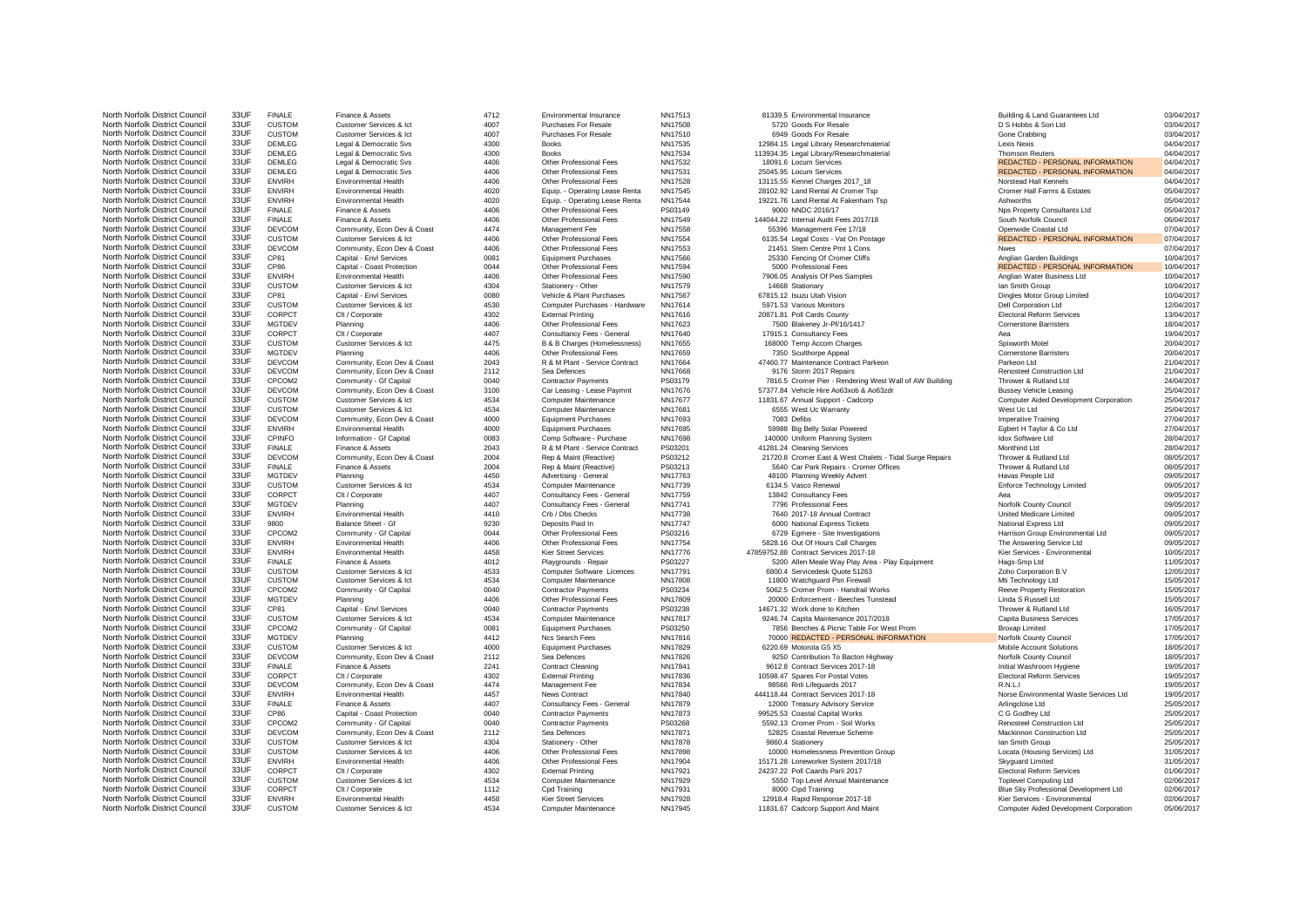| North Norfolk District Council                                   | 33UF         | F             |
|------------------------------------------------------------------|--------------|---------------|
| North Norfolk District Council                                   | 33UF         | C             |
| North Norfolk District Council<br>North Norfolk District Council | 33UF         | C             |
| North Norfolk District Council                                   | 33UF<br>33UF | D             |
| North Norfolk District Council                                   | 33UF         | D<br>D        |
| North Norfolk District Council                                   | 33UF         | D             |
| North Norfolk District Council                                   | 33UF         | E             |
| North Norfolk District Council                                   | 33UF         | Е             |
| North Norfolk District Council                                   | 33UF         | Е             |
| North Norfolk District Council                                   | 33UF         | F             |
| North Norfolk District Council                                   | 33UF         | F             |
| North Norfolk District Council                                   | 33UF         |               |
| North Norfolk District Council                                   | 33UF         | DCDCCECCCC    |
| North Norfolk District Council                                   | 33UF         |               |
| North Norfolk District Council                                   | 33UF         |               |
| North Norfolk District Council                                   | 33UF         |               |
| North Norfolk District Council                                   | 33UF         |               |
| North Norfolk District Council                                   | 33UF         |               |
| North Norfolk District Council                                   | 33UF         |               |
| North Norfolk District Council                                   | 33UF         |               |
| North Norfolk District Council                                   | 33UF         |               |
| North Norfolk District Council<br>North Norfolk District Council | 33UF<br>33UF |               |
| North Norfolk District Council                                   | 33UF         |               |
| North Norfolk District Council                                   | 33UF         | $\frac{C}{N}$ |
| North Norfolk District Council                                   | 33UF         | D             |
| North Norfolk District Council                                   | 33UF         | D             |
| North Norfolk District Council                                   | 33UF         | C             |
| North Norfolk District Council                                   | 33UF         | D             |
| North Norfolk District Council                                   | 33UF         |               |
| North Norfolk District Council                                   | 33UF         | $\frac{c}{c}$ |
| North Norfolk District Council                                   | 33UF         | D             |
| North Norfolk District Council                                   | 33UF         | E             |
| North Norfolk District Council                                   | 33UF         | Ċ             |
| North Norfolk District Council                                   | 33UF         | F             |
| North Norfolk District Council                                   | 33UF         | D             |
| North Norfolk District Council                                   | 33UF<br>33UF | F             |
| North Norfolk District Council<br>North Norfolk District Council | 33UF         | N             |
| North Norfolk District Council                                   | 33UF         | $\frac{c}{c}$ |
| North Norfolk District Council                                   | 33UF         | N             |
| North Norfolk District Council                                   | 33UF         | E             |
| North Norfolk District Council                                   | 33UF         | 9             |
| North Norfolk District Council                                   | 33UF         | C             |
| North Norfolk District Council                                   | 33UF         | E             |
| North Norfolk District Council                                   | 33UF         | E             |
| North Norfolk District Council                                   | 33UF         | F             |
| North Norfolk District Council                                   | 33UF         | CCC<br>NCC    |
| North Norfolk District Council                                   | 33UF         |               |
| North Norfolk District Council<br>North Norfolk District Council | 33UF<br>33UF |               |
| North Norfolk District Council                                   | 33UF         |               |
| North Norfolk District Council                                   | 33UF         |               |
| North Norfolk District Council                                   | 33UF         |               |
| North Norfolk District Council                                   | 33UF         |               |
| North Norfolk District Council                                   | 33UF         | $\frac{C}{C}$ |
| North Norfolk District Council                                   | 33UF         | D             |
| North Norfolk District Council                                   | 33UF         |               |
| North Norfolk District Council                                   | 33UF         | F<br>C<br>D   |
| North Norfolk District Council                                   | 33UF         |               |
| North Norfolk District Council                                   | 33UF         | E             |
| North Norfolk District Council                                   | 33UF         | F             |
| North Norfolk District Council                                   | 33UF         |               |
| North Norfolk District Council                                   | 33UF<br>33UF |               |
| North Norfolk District Council                                   | 33UF         |               |
| North Norfolk District Council<br>North Norfolk District Council | 33UF         | CODCE         |
| North Norfolk District Council                                   | 33UF         |               |
| North Norfolk District Council                                   | 33UF         |               |
| North Norfolk District Council                                   | 33UF         | $\frac{C}{C}$ |
| North Norfolk District Council                                   | 33UF         |               |
| North Norfolk District Council                                   | 33UF         | E             |
| North Norfolk District Council                                   | 33UF         | $\mathbf C$   |

| Customer Services & Ict                                |  |
|--------------------------------------------------------|--|
| Customer Services & Ict                                |  |
| egal & Democratic Svs.<br>L                            |  |
| egal & Democratic Svs<br>L                             |  |
| Legal & Democratic Svs                                 |  |
| Legal & Democratic Svs                                 |  |
| Environmental Health                                   |  |
| Environmental Health                                   |  |
| <b>Environmental Health</b>                            |  |
| Finance & Assets                                       |  |
| Finance & Assets                                       |  |
| Community, Econ Dev & Coast                            |  |
| Customer Services & Ict                                |  |
| Community, Econ Dev & Coast                            |  |
| Capital - Envl Services                                |  |
| Capital - Coast Protection                             |  |
| Environmental Health                                   |  |
| Customer Services & Ict                                |  |
| Capital - Envl Services                                |  |
| Customer Services & Ict                                |  |
| Clt / Corporate                                        |  |
| Planning                                               |  |
| Clt / Corporate                                        |  |
| Customer Services & Ict                                |  |
| Planning                                               |  |
| Community, Econ Dev & Coast                            |  |
| Community, Econ Dev & Coast                            |  |
| Community - Gf Capital                                 |  |
| Community, Econ Dev & Coast                            |  |
| Customer Services & Ict                                |  |
| Customer Services & Ict                                |  |
| Community, Econ Dev & Coast                            |  |
| Environmental Health                                   |  |
| Information - Gf Capital                               |  |
| Finance & Assets                                       |  |
| Community, Econ Dev & Coast                            |  |
|                                                        |  |
| Finance & Assets                                       |  |
| Planning                                               |  |
| Customer Services & Ict                                |  |
| Clt / Corporate                                        |  |
| Planning                                               |  |
| Environmental Health                                   |  |
| Balance Sheet - Gf                                     |  |
| Community - Gf Capital                                 |  |
| Environmental Health                                   |  |
| Environmental Health                                   |  |
| Finance & Assets                                       |  |
| Customer Services & Ict                                |  |
| Customer Services & Ict                                |  |
| Community - Gf Capital                                 |  |
| Planning                                               |  |
| Capital - Envl Services                                |  |
| Customer Services & Ict                                |  |
| Community - Gf Capital                                 |  |
| Planning<br>Customer Services & Ict                    |  |
|                                                        |  |
| Community, Econ Dev & Coast                            |  |
| Finance & Assets                                       |  |
| Clt / Corporate<br>C                                   |  |
| Community, Econ Dev & Coast<br>Environmental Health    |  |
|                                                        |  |
| Finance & Assets<br>Capital - Coast Protection         |  |
| Community - Gf Capital<br>C                            |  |
|                                                        |  |
| Community, Econ Dev & Coast<br>Customer Services & Ict |  |
| Customer Services & Ict                                |  |
| <b>Environmental Health</b>                            |  |
| Clt / Corporate                                        |  |
| Customer Services & Ict                                |  |
| Clt / Corporate                                        |  |
| Environmental Health<br>Customer Services & Ict        |  |

| Environmental Insurance                                   |
|-----------------------------------------------------------|
| Purchases For Resale                                      |
| Purchases For Resale<br>Books                             |
| Books                                                     |
| Other Professional Fees                                   |
| Other Professional Fees                                   |
| Other Professional Fees                                   |
| Equip. - Operating Lease Renta                            |
| Equip. - Operating Lease Renta<br>Other Professional Fees |
| Other Professional Fees                                   |
| Management Fee                                            |
| Other Professional Fees                                   |
| Other Professional Fees                                   |
| <b>Equipment Purchases</b><br>Other Professional Fees     |
| Other Professional Fees                                   |
| Stationery - Other                                        |
| Vehicle & Plant Purchases                                 |
| Computer Purchases - Hardware                             |
| <b>External Printing</b>                                  |
| Other Professional Fees<br>Consultancy Fees - General     |
| B & B Charges (Homelessness)                              |
| Other Professional Fees                                   |
| R & M Plant - Service Contract                            |
| Sea Defences                                              |
| <b>Contractor Payments</b>                                |
| Car Leasing - Lease Paymnt<br>Computer Maintenance        |
| Computer Maintenance                                      |
| <b>Equipment Purchases</b>                                |
| Equipment Purchases                                       |
| Comp Software - Purchase                                  |
| R & M Plant - Service Contract<br>Rep & Maint (Reactive)  |
| Rep & Maint (Reactive)                                    |
| Advertising - General                                     |
| Computer Maintenance                                      |
| Consultancy Fees - General                                |
| Consultancy Fees - General<br>Crb / Dbs Checks            |
| Deposits Paid In                                          |
| Other Professional Fees                                   |
| Other Professional Fees                                   |
| <b>Kier Street Services</b>                               |
| Playgrounds - Repair                                      |
| Computer Software Licences<br><b>Computer Maintenance</b> |
| Contractor Payments                                       |
| Other Professional Fees                                   |
| <b>Contractor Payments</b>                                |
| Computer Maintenance                                      |
| <b>Equipment Purchases</b><br>Ncs Search Fees             |
| <b>Equipment Purchases</b>                                |
| Sea Defences                                              |
| <b>Contract Cleaning</b>                                  |
| <b>External Printing</b>                                  |
| Management Fee<br><b>News Contract</b>                    |
| Consultancy Fees - General                                |
| Contractor Payments                                       |
| <b>Contractor Payments</b>                                |
| Sea Defences                                              |
| Stationery - Other                                        |
| Other Professional Fees                                   |
| Other Professional Fees<br><b>External Printing</b>       |
| Computer Maintenance                                      |
| Cpd Training                                              |
| Kier Street Services                                      |
| Computer Maintenance                                      |

| North Norfolk District Council | 33UF | <b>FINALE</b> | Finance & Assets            | 4712 | Environmental Insurance        | NN17513        | 81339.5 Environmental Insurance                          | Building & Land Guarantees Ltd         | 03/04/2017 |
|--------------------------------|------|---------------|-----------------------------|------|--------------------------------|----------------|----------------------------------------------------------|----------------------------------------|------------|
| North Norfolk District Council | 33UF | <b>CUSTOM</b> | Customer Services & Ict     | 4007 | Purchases For Resale           | NN17508        | 5720 Goods For Resale                                    | D S Hobbs & Son Ltd                    | 03/04/2017 |
| North Norfolk District Council | 33UF | <b>CUSTOM</b> | Customer Services & Ict     | 4007 | Purchases For Resale           | NN17510        | 6949 Goods For Resale                                    | Gone Crabbing                          | 03/04/2017 |
| North Norfolk District Council | 33UF | <b>DEMLEG</b> | Legal & Democratic Svs      | 4300 | <b>Books</b>                   | NN17535        | 12984.15 Legal Library Researchmaterial                  | <b>Lexis Nexis</b>                     | 04/04/2017 |
| North Norfolk District Council | 33UF | <b>DEMLEG</b> | Legal & Democratic Svs      | 4300 | <b>Books</b>                   | NN17534        | 113934.35 Legal Library/Researchmaterial                 | <b>Thomson Reuters</b>                 | 04/04/2017 |
| North Norfolk District Council | 33UF | <b>DEMLEG</b> | Legal & Democratic Svs      | 4406 | Other Professional Fees        | NN17532        | 18091.6 Locum Services                                   | REDACTED - PERSONAL INFORMATION        | 04/04/2017 |
| North Norfolk District Council | 33UF | DEMLEG        | Legal & Democratic Svs      | 4406 | Other Professional Fees        | NN17531        | 25045.95 Locum Services                                  | REDACTED - PERSONAL INFORMATION        | 04/04/2017 |
| North Norfolk District Council | 33UF | <b>ENVIRH</b> | Environmental Health        | 4406 | Other Professional Fees        | NN17528        | 13115.55 Kennel Charges 2017_18                          | Norstead Hall Kennels                  | 04/04/2017 |
| North Norfolk District Council | 33UF | <b>ENVIRH</b> | Environmental Health        | 4020 | Equip. - Operating Lease Renta | NN17545        | 28102.92 Land Rental At Cromer Tsp                       | Cromer Hall Farms & Estates            | 05/04/2017 |
| North Norfolk District Council | 33UF | <b>ENVIRH</b> | <b>Environmental Health</b> | 4020 | Equip. - Operating Lease Renta | NN17544        | 19221.76 Land Rental At Fakenham Tsp                     | Ashworths                              | 05/04/2017 |
| North Norfolk District Council | 33UF | <b>FINALE</b> | Finance & Assets            | 4406 | Other Professional Fees        | PS03149        | 9000 NNDC 2016/17                                        |                                        | 05/04/2017 |
|                                | 33UF |               |                             |      |                                |                |                                                          | Nps Property Consultants Ltd           |            |
| North Norfolk District Council |      | <b>FINALE</b> | Finance & Assets            | 4406 | Other Professional Fees        | NN17549        | 144044.22 Internal Audit Fees 2017/18                    | South Norfolk Council                  | 06/04/2017 |
| North Norfolk District Council | 33UF | <b>DEVCOM</b> | Community, Econ Dev & Coast | 4474 | Management Fee                 | NN17558        | 55396 Management Fee 17/18                               | Openwide Coastal Ltd                   | 07/04/2017 |
| North Norfolk District Council | 33UF | <b>CUSTOM</b> | Customer Services & Ict     | 4406 | Other Professional Fees        | NN17554        | 6135.54 Legal Costs - Vat On Postage                     | REDACTED - PERSONAL INFORMATION        | 07/04/2017 |
| North Norfolk District Council | 33UF | <b>DEVCOM</b> | Community, Econ Dev & Coast | 4406 | Other Professional Fees        | NN17553        | 21451 Stem Centre Pmt 1 Cons                             | <b>Nwes</b>                            | 07/04/2017 |
| North Norfolk District Council | 33UF | CP81          | Capital - Envl Services     | 0081 | <b>Equipment Purchases</b>     | NN17566        | 25330 Fencing Of Cromer Cliffs                           | Anglian Garden Buildings               | 10/04/2017 |
| North Norfolk District Council | 33UF | CP86          | Capital - Coast Protection  | 0044 | Other Professional Fees        | NN17594        | 5000 Professional Fees                                   | REDACTED - PERSONAL INFORMATION        | 10/04/2017 |
| North Norfolk District Council | 33UF | <b>ENVIRH</b> | <b>Environmental Health</b> | 4406 | Other Professional Fees        | NN17590        | 7906.05 Analysis Of Pws Samples                          | Anglian Water Business Ltd             | 10/04/2017 |
| North Norfolk District Council | 33UF | <b>CUSTOM</b> | Customer Services & Ict     | 4304 | Stationery - Other             | NN17579        | 14668 Stationary                                         | Ian Smith Group                        | 10/04/2017 |
| North Norfolk District Council | 33UF | CP81          | Capital - Envl Services     | 0080 | Vehicle & Plant Purchases      | NN17567        | 67815.12 Isuzu Utah Vision                               | Dingles Motor Group Limited            | 10/04/2017 |
| North Norfolk District Council | 33UF | <b>CUSTOM</b> | Customer Services & Ict     | 4530 | Computer Purchases - Hardware  | NN17614        | 5971.53 Various Monitors                                 | Dell Corporation Ltd                   | 12/04/2017 |
| North Norfolk District Council | 33UF | CORPCT        | Clt / Corporate             | 4302 | <b>External Printing</b>       | NN17616        | 20871.81 Poll Cards County                               | <b>Electoral Reform Services</b>       | 13/04/2017 |
| North Norfolk District Council | 33UF | MGTDEV        | Planning                    | 4406 | Other Professional Fees        | NN17623        | 7500 Blakeney Jr-Pf/16/1417                              | <b>Cornerstone Barristers</b>          | 18/04/2017 |
| North Norfolk District Council | 33UF | CORPCT        | Clt / Corporate             | 4407 | Consultancy Fees - General     | NN17640        | 17915.1 Consultancy Fees                                 | Aea                                    | 19/04/2017 |
| North Norfolk District Council | 33UF | <b>CUSTOM</b> | Customer Services & Ict     | 4475 | B & B Charges (Homelessness)   | NN17655        | 168000 Temp Accom Charges                                | Spixworth Motel                        | 20/04/2017 |
| North Norfolk District Council | 33UF | <b>MGTDEV</b> | Planning                    | 4406 | Other Professional Fees        | NN17659        | 7350 Sculthorpe Appeal                                   | <b>Cornerstone Barristers</b>          | 20/04/2017 |
| North Norfolk District Council | 33UF | <b>DEVCOM</b> | Community, Econ Dev & Coast | 2043 | R & M Plant - Service Contract | NN17664        | 47460.77 Maintenance Contract Parkeon                    | Parkeon Ltd                            | 21/04/2017 |
| North Norfolk District Council | 33UF |               |                             |      |                                |                |                                                          |                                        |            |
|                                |      | <b>DEVCOM</b> | Community, Econ Dev & Coast | 2112 | Sea Defences                   | NN17668        | 9176 Storm 2017 Repairs                                  | Renosteel Construction Ltd             | 21/04/2017 |
| North Norfolk District Council | 33UF | CPCOM2        | Community - Gf Capital      | 0040 | <b>Contractor Payments</b>     | PS03179        | 7816.5 Cromer Pier - Rendering West Wall of AW Building  | Thrower & Rutland Ltd                  | 24/04/2017 |
| North Norfolk District Council | 33UF | <b>DEVCOM</b> | Community, Econ Dev & Coast | 3100 | Car Leasing - Lease Paymnt     | NN17676        | 57377.84 Vehicle Hire Ao63xob & Ao63zdr                  | <b>Bussey Vehicle Leasing</b>          | 25/04/2017 |
| North Norfolk District Council | 33UF | <b>CUSTOM</b> | Customer Services & Ict     | 4534 | Computer Maintenance           | NN17677        | 11831.67 Annual Support - Cadcorp                        | Computer Aided Development Corporation | 25/04/2017 |
| North Norfolk District Council | 33UF | <b>CUSTOM</b> | Customer Services & Ict     | 4534 | Computer Maintenance           | NN17681        | 6555 West Uc Warranty                                    | West Uc Ltd                            | 25/04/2017 |
| North Norfolk District Council | 33UF | <b>DEVCOM</b> | Community, Econ Dev & Coast | 4000 | <b>Equipment Purchases</b>     | NN17693        | 7083 Defibs                                              | <b>Imperative Training</b>             | 27/04/2017 |
| North Norfolk District Council | 33UF | <b>ENVIRH</b> | <b>Environmental Health</b> | 4000 | <b>Equipment Purchases</b>     | NN17695        | 59988 Big Belly Solar Powered                            | Eabert H Tavlor & Co Ltd               | 27/04/2017 |
| North Norfolk District Council | 33UF | CPINFO        | Information - Gf Capital    | 0083 | Comp Software - Purchase       | NN17698        | 140000 Uniform Planning System                           | <b>Idox Software Ltd</b>               | 28/04/2017 |
| North Norfolk District Council | 33UF | <b>FINALE</b> | Finance & Assets            | 2043 | R & M Plant - Service Contract | PS03201        | 41281.24 Cleaning Services                               | Monthind Ltd                           | 28/04/2017 |
| North Norfolk District Council | 33UF | <b>DEVCOM</b> | Community, Econ Dev & Coast | 2004 | Rep & Maint (Reactive)         | PS03212        | 21720.8 Cromer East & West Chalets - Tidal Surge Repairs | Thrower & Rutland Ltd                  | 08/05/2017 |
| North Norfolk District Council | 33UF | <b>FINALE</b> | Finance & Assets            | 2004 | Rep & Maint (Reactive)         | PS03213        | 5640 Car Park Repairs - Cromer Offices                   | Thrower & Rutland Ltd                  | 08/05/2017 |
| North Norfolk District Council | 33UF | MGTDEV        | Planning                    | 4450 | Advertising - General          | <b>NN17763</b> | 48100 Planning Weekly Advert                             | Havas People Ltd                       | 09/05/2017 |
| North Norfolk District Council | 33UF | <b>CUSTOM</b> | Customer Services & Ict     | 4534 | Computer Maintenance           | NN17739        | 6134.5 Vasco Renewal                                     | <b>Enforce Technology Limited</b>      | 09/05/2017 |
| North Norfolk District Council | 33UF | CORPCT        | Clt / Corporate             | 4407 | Consultancy Fees - General     | NN17759        | 13842 Consultancy Fees                                   |                                        | 09/05/2017 |
| North Norfolk District Council | 33UF | MGTDEV        | Planning                    | 4407 | Consultancy Fees - General     | NN17741        | 7796 Professional Fees                                   | Norfolk County Council                 | 09/05/2017 |
| North Norfolk District Council | 33UF | <b>ENVIRH</b> | <b>Environmental Health</b> | 4410 | Crb / Dbs Checks               | NN17738        | 7640 2017-18 Annual Contract                             | <b>United Medicare Limited</b>         | 09/05/2017 |
| North Norfolk District Council | 33UF | 9800          |                             | 9230 | Deposits Paid In               | <b>NN17747</b> |                                                          | National Express Ltd                   | 09/05/2017 |
|                                |      |               | Balance Sheet - Gf          |      |                                |                | 6000 National Express Tickets                            |                                        |            |
| North Norfolk District Council | 33UF | CPCOM2        | Community - Gf Capital      | 0044 | Other Professional Fees        | PS03216        | 6729 Egmere - Site Investigations                        | Harrison Group Environmental Ltd       | 09/05/2017 |
| North Norfolk District Council | 33UF | <b>FNVIRH</b> | <b>Environmental Health</b> | 4406 | Other Professional Fees        | NN17754        | 5828.16 Out Of Hours Call Charges                        | The Answering Service Ltd              | 09/05/2017 |
| North Norfolk District Council | 33UF | <b>ENVIRH</b> | <b>Environmental Health</b> | 4458 | <b>Kier Street Services</b>    | NN17776        | 47859752.88 Contract Services 2017-18                    | Kier Services - Environmental          | 10/05/2017 |
| North Norfolk District Council | 33UF | <b>FINALE</b> | Finance & Assets            | 4012 | Playgrounds - Repair           | PS03227        | 5200 Allen Meale Way Play Area - Play Equipment          | Hags-Smp Ltd                           | 11/05/2017 |
| North Norfolk District Council | 33UF | <b>CUSTOM</b> | Customer Services & Ict     | 4533 | Computer Software Licences     | NN17791        | 6800.4 Servicedesk Quote 51263                           | Zoho Corporation B.V                   | 12/05/2017 |
| North Norfolk District Council | 33UF | <b>CUSTOM</b> | Customer Services & Ict     | 4534 | Computer Maintenance           | <b>NN17808</b> | 11800 Watchguard Psn Firewall                            | Mti Technology Ltd                     | 15/05/2017 |
| North Norfolk District Council | 33UF | CPCOM2        | Community - Gf Capital      | 0040 | <b>Contractor Payments</b>     | PS03234        | 5062.5 Cromer Prom - Handrail Works                      | Reeve Property Restoration             | 15/05/2017 |
| North Norfolk District Council | 33UF | MGTDEV        | Planning                    | 4406 | Other Professional Fees        | NN17809        | 20000 Enforcement - Beeches Tunstead                     | Linda S Russell Ltd                    | 15/05/2017 |
| North Norfolk District Council | 33UF | CP81          | Capital - Envl Services     | 0040 | <b>Contractor Payments</b>     | PS03238        | 14671.32 Work done to Kitchen                            | Thrower & Rutland Ltd                  | 16/05/2017 |
| North Norfolk District Council | 33UF | <b>CUSTOM</b> | Customer Services & Ict     | 4534 | Computer Maintenance           | NN17817        | 9246.74 Capita Maintenance 2017/2018                     | Capita Business Services               | 17/05/2017 |
| North Norfolk District Council | 33UF | CPCOM2        | Community - Gf Capital      | 0081 | <b>Equipment Purchases</b>     | PS03250        | 7856 Benches & Picnic Table For West Prom                | <b>Broxap Limited</b>                  | 17/05/2017 |
| North Norfolk District Council | 33UF | MGTDEV        | Planning                    | 4412 | Ncs Search Fees                | NN17816        | 70000 REDACTED - PERSONAL INFORMATION                    | Norfolk County Council                 | 17/05/2017 |
| North Norfolk District Council | 33UF | <b>CUSTOM</b> | Customer Services & Ict     | 4000 | <b>Equipment Purchases</b>     | NN17829        | 6220.69 Motorola G5 X5                                   | Mobile Account Solutions               | 18/05/2017 |
| North Norfolk District Council | 33UF | <b>DEVCOM</b> | Community, Econ Dev & Coast | 2112 | Sea Defences                   | NN17826        | 9250 Contribution To Bacton Highway                      | Norfolk County Council                 | 18/05/2017 |
| North Norfolk District Council | 33UF | <b>FINALE</b> | Finance & Assets            | 2241 | <b>Contract Cleaning</b>       | NN17841        | 9612.8 Contract Services 2017-18                         | Initial Washroom Hygiene               | 19/05/2017 |
| North Norfolk District Council | 33UF | CORPCT        | Clt / Corporate             | 4302 | <b>External Printing</b>       | NN17836        | 10598.47 Spares For Postal Votes                         | <b>Electoral Reform Services</b>       | 19/05/2017 |
|                                | 33UF |               |                             |      |                                |                |                                                          |                                        |            |
| North Norfolk District Council |      | <b>DEVCOM</b> | Community, Econ Dev & Coast | 4474 | Management Fee                 | NN17834        | 98566 Rnli Lifeguards 2017                               | RNI I                                  | 19/05/2017 |
| North Norfolk District Council | 33UF | <b>FNVIRH</b> | <b>Environmental Health</b> | 4457 | <b>News Contract</b>           | NN17840        | 444118.44 Contract Services 2017-18                      | Norse Environmental Waste Services Ltd | 19/05/2017 |
| North Norfolk District Council | 33UF | <b>FINALE</b> | Finance & Assets            | 4407 | Consultancy Fees - General     | NN17879        | 12000 Treasury Advisory Service                          | Arlingclose Ltd                        | 25/05/2017 |
| North Norfolk District Council | 33UF | CP86          | Capital - Coast Protection  | 0040 | <b>Contractor Payments</b>     | NN17873        | 99525.53 Coastal Capital Works                           | C G Godfrey Ltd                        | 25/05/2017 |
| North Norfolk District Council | 33UF | CPCOM2        | Community - Gf Capital      | 0040 | <b>Contractor Payments</b>     | PS03268        | 5592.13 Cromer Prom - Soil Works                         | Renosteel Construction Ltd             | 25/05/2017 |
| North Norfolk District Council | 33UF | <b>DEVCOM</b> | Community, Econ Dev & Coast | 2112 | Sea Defences                   | NN17871        | 52825 Coastal Revenue Scheme                             | Mackinnon Construction Ltd             | 25/05/2017 |
| North Norfolk District Council | 33UF | <b>CUSTOM</b> | Customer Services & Ict     | 4304 | Stationery - Other             | NN17878        | 9860.4 Stationery                                        | Ian Smith Group                        | 25/05/2017 |
| North Norfolk District Council | 33UF | <b>CUSTOM</b> | Customer Services & Ict     | 4406 | Other Professional Fees        | <b>NN17898</b> | 10000 Homelessness Prevention Group                      | Locata (Housing Services) Ltd          | 31/05/2017 |
| North Norfolk District Council | 33UF | <b>ENVIRH</b> | <b>Environmental Health</b> | 4406 | Other Professional Fees        | NN17904        | 15171.28 Loneworker System 2017/18                       | Skyguard Limited                       | 31/05/2017 |
| North Norfolk District Council | 33UF | CORPCT        | Clt / Corporate             | 4302 | <b>External Printing</b>       | NN17921        | 24237.22 Poll Caards Parli 2017                          | <b>Electoral Reform Services</b>       | 01/06/2017 |
| North Norfolk District Council | 33UF | <b>CUSTOM</b> | Customer Services & Ict     | 4534 | Computer Maintenance           | NN17929        | 5550 Top Level Annual Maintenance                        | <b>Toplevel Computing Ltd</b>          | 02/06/2017 |
| North Norfolk District Council | 33UF | CORPCT        | Clt / Corporate             | 1112 | Cpd Training                   | NN17931        | 8000 Cipd Training                                       | Blue Sky Professional Development Ltd  | 02/06/2017 |
| North Norfolk District Council | 33UF | <b>ENVIRH</b> | Environmental Health        | 4458 | <b>Kier Street Services</b>    | NN17928        | 12918.4 Rapid Response 2017-18                           | Kier Services - Environmental          | 02/06/2017 |
| North Norfolk District Council | 33UF | <b>CUSTOM</b> | Customer Services & Ict     | 4534 |                                | NN17945        | 11831.67 Cadcorp Support And Maint                       | Computer Aided Development Corporation | 05/06/2017 |
|                                |      |               |                             |      | Computer Maintenance           |                |                                                          |                                        |            |

| North Norfolk District Council                                   | 33UF  | <b>CUSTOM</b>         | Customer Services & Ict     | 4007 | <b>Purchases For Resale</b>    | NN17508            | 5720 Goods For Resale                                    | D S Hobbs & Son Ltd                    | 03/04/2017 |
|------------------------------------------------------------------|-------|-----------------------|-----------------------------|------|--------------------------------|--------------------|----------------------------------------------------------|----------------------------------------|------------|
| North Norfolk District Council                                   | 33UF  | <b>CUSTOM</b>         | Customer Services & Ict     | 4007 | Purchases For Resale           | NN17510            | 6949 Goods For Resale                                    | Gone Crabbing                          | 03/04/2017 |
| North Norfolk District Council                                   | 33UF  | <b>DEMLEG</b>         | Legal & Democratic Sys      | 4300 | <b>Books</b>                   | NN17535            | 12984.15 Legal Library Researchmaterial                  | Lexis Nexis                            | 04/04/2017 |
| North Norfolk District Council                                   | 33UF  | DEMLEG                | Legal & Democratic Svs      | 4300 | <b>Books</b>                   | NN17534            | 113934.35 Legal Library/Researchmaterial                 | Thomson Reuters                        | 04/04/2017 |
| North Norfolk District Council                                   | 33UF  | <b>DEMLEG</b>         | Legal & Democratic Svs      | 4406 | Other Professional Fees        | NN17532            | 18091.6 Locum Services                                   | REDACTED - PERSONAL INFORMATION        | 04/04/2017 |
| North Norfolk District Council                                   | 33UF  | <b>DEMLEG</b>         | Legal & Democratic Svs      | 4406 | Other Professional Fees        | NN17531            | 25045.95 Locum Services                                  | REDACTED - PERSONAL INFORMATION        | 04/04/2017 |
| North Norfolk District Council                                   | 33UF  | <b>ENVIRH</b>         | <b>Environmental Health</b> | 4406 | Other Professional Fees        | NN17528            | 13115.55 Kennel Charges 2017_18                          | Norstead Hall Kennels                  | 04/04/2017 |
| North Norfolk District Council                                   | 33UF  | <b>ENVIRH</b>         | <b>Environmental Health</b> | 4020 | Equip. - Operating Lease Renta | NN17545            | 28102.92 Land Rental At Cromer Tsp                       | Cromer Hall Farms & Estates            | 05/04/2017 |
| North Norfolk District Council                                   | 33UF  | <b>ENVIRH</b>         | <b>Environmental Health</b> | 4020 | Equip. - Operating Lease Renta | NN17544            | 19221.76 Land Rental At Fakenham Tsp                     | Ashworths                              | 05/04/2017 |
| North Norfolk District Council                                   | 33UF  | <b>FINALE</b>         | Finance & Assets            | 4406 | Other Professional Fees        | PS03149            | 9000 NNDC 2016/17                                        | Nps Property Consultants Ltd           | 05/04/2017 |
| North Norfolk District Council                                   | 33UF  | <b>FINALE</b>         | Finance & Assets            | 4406 | Other Professional Fees        | NN17549            | 144044.22 Internal Audit Fees 2017/18                    | South Norfolk Council                  | 06/04/2017 |
| North Norfolk District Council                                   | 33UF  | DEVCOM                |                             | 4474 | Management Fee                 | NN17558            |                                                          |                                        |            |
|                                                                  |       |                       | Community, Econ Dev & Coast |      |                                |                    | 55396 Management Fee 17/18                               | Openwide Coastal Ltd                   | 07/04/2017 |
| North Norfolk District Council                                   | 33UF  | <b>CUSTOM</b>         | Customer Services & Ict     | 4406 | Other Professional Fees        | NN17554            | 6135.54 Legal Costs - Vat On Postage                     | REDACTED - PERSONAL INFORMATION        | 07/04/2017 |
| North Norfolk District Council                                   | 33UF  | <b>DEVCOM</b>         | Community, Econ Dev & Coast | 4406 | Other Professional Fees        | NN17553            | 21451 Stem Centre Pmt 1 Cons                             | <b>Nwes</b>                            | 07/04/2017 |
| North Norfolk District Council                                   | 33UF  | CP81                  | Capital - Envl Services     | 0081 | <b>Equipment Purchases</b>     | NN17566            | 25330 Fencing Of Cromer Cliffs                           | Anglian Garden Buildings               | 10/04/2017 |
| North Norfolk District Council                                   | 33UF  | CP86                  | Capital - Coast Protection  | 0044 | Other Professional Fees        | NN17594            | 5000 Professional Fees                                   | REDACTED - PERSONAL INFORMATION        | 10/04/2017 |
| North Norfolk District Council                                   | 33UF  | <b>ENVIRH</b>         | <b>Environmental Health</b> | 4406 | Other Professional Fees        | NN17590            | 7906.05 Analysis Of Pws Samples                          | Anglian Water Business Ltd             | 10/04/2017 |
| North Norfolk District Council                                   | 33UF  | <b>CUSTOM</b>         | Customer Services & Ict     | 4304 | Stationery - Other             | NN17579            | 14668 Stationary                                         | Ian Smith Group                        | 10/04/2017 |
| North Norfolk District Council                                   | 33UF  | CP81                  | Capital - Envl Services     | 0080 | Vehicle & Plant Purchases      | NN17567            | 67815.12 Isuzu Utah Vision                               | Dingles Motor Group Limited            | 10/04/2017 |
| North Norfolk District Council                                   | 33UF  | <b>CUSTOM</b>         | Customer Services & Ict     | 4530 | Computer Purchases - Hardware  | NN17614            | 5971.53 Various Monitors                                 | <b>Dell Corporation Ltd</b>            | 12/04/2017 |
| North Norfolk District Council                                   | 33UF  | CORPCT                | Clt / Corporate             | 4302 | <b>External Printing</b>       | NN17616            | 20871.81 Poll Cards County                               | Electoral Reform Services              | 13/04/2017 |
| North Norfolk District Council                                   | 33UF  | MGTDEV                | Planning                    | 4406 | Other Professional Fees        | NN17623            | 7500 Blakeney Jr-Pf/16/1417                              | <b>Cornerstone Barristers</b>          | 18/04/2017 |
| North Norfolk District Council                                   | 33UF  | CORPCT                | Clt / Corporate             | 4407 | Consultancy Fees - General     | NN17640            | 17915.1 Consultancy Fees                                 |                                        | 19/04/2017 |
| North Norfolk District Council                                   | 33UF  | <b>CUSTOM</b>         | Customer Services & Ict     | 4475 | B & B Charges (Homelessness)   | NN17655            | 168000 Temp Accom Charges                                | Spixworth Motel                        | 20/04/2017 |
| North Norfolk District Council                                   | 33UF  | <b>MGTDEV</b>         | Planning                    | 4406 | Other Professional Fees        | NN17659            | 7350 Sculthorpe Appeal                                   | <b>Cornerstone Barristers</b>          | 20/04/2017 |
| North Norfolk District Council                                   | 33UF  | <b>DEVCOM</b>         | Community, Econ Dev & Coast | 2043 | R & M Plant - Service Contract | NN17664            | 47460.77 Maintenance Contract Parkeon                    | Parkeon Ltd                            | 21/04/2017 |
| North Norfolk District Council                                   | 33UF  | <b>DEVCOM</b>         | Community, Econ Dev & Coast | 2112 | Sea Defences                   | NN17668            | 9176 Storm 2017 Repairs                                  | Renosteel Construction Ltd             | 21/04/2017 |
| North Norfolk District Council                                   | 33UF  | CPCOM2                | Community - Gf Capital      | 0040 | <b>Contractor Payments</b>     | PS03179            | 7816.5 Cromer Pier - Rendering West Wall of AW Building  | Thrower & Rutland Ltd                  | 24/04/2017 |
| North Norfolk District Council                                   | 33UF  | <b>DEVCOM</b>         | Community, Econ Dev & Coast | 3100 | Car Leasing - Lease Paymnt     | NN17676            | 57377.84 Vehicle Hire Ao63xob & Ao63zdr                  | <b>Bussey Vehicle Leasing</b>          | 25/04/2017 |
| North Norfolk District Council                                   | 33UF  |                       |                             | 4534 |                                | NN17677            |                                                          |                                        |            |
|                                                                  |       | <b>CUSTOM</b>         | Customer Services & Ict     |      | Computer Maintenance           |                    | 11831.67 Annual Support - Cadcorp                        | Computer Aided Development Corporation | 25/04/2017 |
| North Norfolk District Council                                   | 33UF  | <b>CUSTOM</b>         | Customer Services & Ict     | 4534 | Computer Maintenance           | NN17681            | 6555 West Uc Warranty                                    | West Uc Ltd                            | 25/04/2017 |
| North Norfolk District Council                                   | 33UF  | <b>DEVCOM</b>         | Community, Econ Dev & Coast | 4000 | <b>Equipment Purchases</b>     | NN17693            | 7083 Defibs                                              | Imperative Training                    | 27/04/2017 |
| North Norfolk District Council                                   | 33UF  | <b>ENVIRH</b>         | <b>Environmental Health</b> | 4000 | <b>Equipment Purchases</b>     | NN17695            | 59988 Big Belly Solar Powered                            | Egbert H Taylor & Co Ltd               | 27/04/2017 |
| North Norfolk District Council                                   | 33UF  | CPINFO                | Information - Gf Capital    | 0083 | Comp Software - Purchase       | NN17698            | 140000 Uniform Planning System                           | Idox Software Ltd                      | 28/04/2017 |
| North Norfolk District Council                                   | 33UF  | <b>FINALE</b>         | Finance & Assets            | 2043 | R & M Plant - Service Contract | PS03201            | 41281.24 Cleaning Services                               | Monthind Ltd                           | 28/04/2017 |
| North Norfolk District Council                                   | 33UF  | <b>DEVCOM</b>         | Community, Econ Dev & Coast | 2004 | Rep & Maint (Reactive)         | PS03212            | 21720.8 Cromer East & West Chalets - Tidal Surge Repairs | Thrower & Rutland Ltd                  | 08/05/2017 |
| North Norfolk District Council                                   | 33UF  | <b>FINALE</b>         | Finance & Assets            | 2004 | Rep & Maint (Reactive)         | PS03213            | 5640 Car Park Repairs - Cromer Offices                   | Thrower & Rutland Ltd                  | 08/05/2017 |
| North Norfolk District Council                                   | 33UF  | MGTDEV                | Planning                    | 4450 | Advertising - General          | NN17763            | 48100 Planning Weekly Advert                             | Havas People Ltd                       | 09/05/2017 |
| North Norfolk District Council                                   | 33UF  | <b>CUSTOM</b>         | Customer Services & Ict     | 4534 | Computer Maintenance           | NN17739            | 6134.5 Vasco Renewal                                     | <b>Enforce Technology Limited</b>      | 09/05/2017 |
| North Norfolk District Council                                   | 33UF  | CORPCT                | Clt / Corporate             | 4407 | Consultancy Fees - General     | NN17759            | 13842 Consultancy Fees                                   |                                        | 09/05/2017 |
| North Norfolk District Council                                   | 33UF  | MGTDEV                | Planning                    | 4407 | Consultancy Fees - General     | NN17741            | 7796 Professional Fees                                   | Norfolk County Council                 | 09/05/2017 |
| North Norfolk District Council                                   | 33UF  | <b>ENVIRH</b>         | <b>Environmental Health</b> | 4410 | Crb / Dbs Checks               | <b>NN17738</b>     | 7640 2017-18 Annual Contract                             | United Medicare Limited                | 09/05/2017 |
| North Norfolk District Council                                   | 33UF  | 9800                  | Balance Sheet - Gf          | 9230 | Deposits Paid In               | <b>NN17747</b>     | 6000 National Express Tickets                            | National Express Ltd                   | 09/05/2017 |
| North Norfolk District Council                                   | 33UF  | CPCOM2                | Community - Gf Capital      | 0044 | Other Professional Fees        | PS03216            | 6729 Egmere - Site Investigations                        | Harrison Group Environmental Ltd       | 09/05/2017 |
| North Norfolk District Council                                   | 33UF  | <b>ENVIRH</b>         | <b>Environmental Health</b> | 4406 | Other Professional Fees        | NN17754            | 5828.16 Out Of Hours Call Charges                        | The Answering Service Ltd              | 09/05/2017 |
| North Norfolk District Council                                   | 33UF  | <b>ENVIRH</b>         | <b>Environmental Health</b> | 4458 | <b>Kier Street Services</b>    | NN17776            | 47859752.88 Contract Services 2017-18                    | Kier Services - Environmental          | 10/05/2017 |
| North Norfolk District Council                                   | 33UF  | <b>FINALE</b>         | Finance & Assets            | 4012 | Playgrounds - Repair           | PS03227            | 5200 Allen Meale Way Play Area - Play Equipment          | Hags-Smp Ltd                           | 11/05/2017 |
| North Norfolk District Council                                   | 33UF  | <b>CUSTOM</b>         |                             | 4533 |                                | NN17791            |                                                          |                                        | 12/05/2017 |
|                                                                  |       |                       | Customer Services & Ict     |      | Computer Software Licences     |                    | 6800.4 Servicedesk Quote 51263                           | Zoho Corporation B.V                   |            |
| North Norfolk District Council                                   | 33UF  | <b>CUSTOM</b>         | Customer Services & Ict     | 4534 | Computer Maintenance           | NN17808            | 11800 Watchguard Psn Firewall                            | Mti Technology Ltd                     | 15/05/2017 |
| North Norfolk District Council                                   | 33UF  | CPCOM2                | Community - Gf Capital      | 0040 | <b>Contractor Payments</b>     | PS03234            | 5062.5 Cromer Prom - Handrail Works                      | Reeve Property Restoration             | 15/05/2017 |
| North Norfolk District Council                                   | 33UF  | MGTDEV                | Planning                    | 4406 | Other Professional Fees        | NN17809            | 20000 Enforcement - Beeches Tunstead                     | Linda S Russell Ltd                    | 15/05/2017 |
| North Norfolk District Council                                   | 33UF  | CP81                  | Capital - Envl Services     | 0040 | <b>Contractor Payments</b>     | PS03238            | 14671.32 Work done to Kitchen                            | Thrower & Rutland Ltd                  | 16/05/2017 |
| North Norfolk District Council                                   | 33UF  | <b>CUSTOM</b>         | Customer Services & Ict     | 4534 | Computer Maintenance           | NN17817            | 9246.74 Capita Maintenance 2017/2018                     | Capita Business Services               | 17/05/2017 |
| North Norfolk District Council                                   | 33UF  | CPCOM2                | Community - Gf Capital      | 0081 | <b>Equipment Purchases</b>     | PS03250            | 7856 Benches & Picnic Table For West Prom                | <b>Broxap Limited</b>                  | 17/05/2017 |
| North Norfolk District Council                                   | 33UF  | <b>MGTDEV</b>         | Planning                    | 4412 | <b>Ncs Search Fees</b>         | NN17816            | 70000 REDACTED - PERSONAL INFORMATION                    | Norfolk County Council                 | 17/05/2017 |
| North Norfolk District Council                                   | 33UF  | <b>CUSTOM</b>         | Customer Services & Ict     | 4000 | <b>Equipment Purchases</b>     | NN17829            | 6220.69 Motorola G5 X5                                   | Mobile Account Solutions               | 18/05/2017 |
| North Norfolk District Council                                   | 33UF  | <b>DEVCOM</b>         | Community, Econ Dev & Coast | 2112 | Sea Defences                   | NN17826            | 9250 Contribution To Bacton Highway                      | Norfolk County Council                 | 18/05/2017 |
| North Norfolk District Council                                   | 33UF  | <b>FINALE</b>         | Finance & Assets            | 2241 | Contract Cleaning              | NN17841            | 9612.8 Contract Services 2017-18                         | Initial Washroom Hygiene               | 19/05/2017 |
| North Norfolk District Council                                   | 33UF  | CORPCT                | Clt / Corporate             | 4302 | <b>External Printing</b>       | NN17836            | 10598.47 Spares For Postal Votes                         | <b>Electoral Reform Services</b>       | 19/05/2017 |
| North Norfolk District Council                                   | 33UF  | <b>DEVCOM</b>         | Community, Econ Dev & Coast | 4474 | Management Fee                 | NN17834            | 98566 Rnli Lifeguards 2017                               | R.N.L.                                 | 19/05/2017 |
| North Norfolk District Council                                   | 33UF  | <b>ENVIRH</b>         | <b>Environmental Health</b> | 4457 | News Contract                  | NN17840            | 444118.44 Contract Services 2017-18                      | Norse Environmental Waste Services Ltd | 19/05/2017 |
| North Norfolk District Council                                   | 33UF  | <b>FINALE</b>         | Finance & Assets            | 4407 | Consultancy Fees - General     | NN17879            | 12000 Treasury Advisory Service                          | Arlingclose Ltd                        | 25/05/2017 |
|                                                                  | 33UF  |                       |                             |      |                                |                    |                                                          |                                        |            |
| North Norfolk District Council<br>North Norfolk District Council | 33UF  | <b>CP86</b><br>CPCOM2 | Capital - Coast Protection  | 0040 | <b>Contractor Payments</b>     | NN17873<br>PS03268 | 99525.53 Coastal Capital Works                           | C G Godfrey Ltd                        | 25/05/2017 |
|                                                                  | 33UF  |                       | Community - Gf Capital      | 0040 | <b>Contractor Payments</b>     |                    | 5592.13 Cromer Prom - Soil Works                         | Renosteel Construction Ltd             | 25/05/2017 |
| North Norfolk District Council                                   |       | <b>DEVCOM</b>         | Community, Econ Dev & Coast | 2112 | Sea Defences                   | NN17871            | 52825 Coastal Revenue Scheme                             | Mackinnon Construction Ltd             | 25/05/2017 |
| North Norfolk District Council                                   | 33UF  | <b>CUSTOM</b>         | Customer Services & Ict     | 4304 | Stationery - Other             | NN17878            | 9860.4 Stationery                                        | Ian Smith Group                        | 25/05/2017 |
| North Norfolk District Council                                   | 33UF  | <b>CUSTOM</b>         | Customer Services & Ict     | 4406 | Other Professional Fees        | NN17898            | 10000 Homelessness Prevention Group                      | Locata (Housing Services) Ltd          | 31/05/2017 |
| North Norfolk District Council                                   | 33UF  | <b>ENVIRH</b>         | Environmental Health        | 4406 | Other Professional Fees        | NN17904            | 15171.28 Loneworker System 2017/18                       | Skyguard Limited                       | 31/05/2017 |
| North Norfolk District Council                                   | 33UF  | CORPCT                | Clt / Corporate             | 4302 | <b>External Printing</b>       | NN17921            | 24237.22 Poll Caards Parli 2017                          | <b>Electoral Reform Services</b>       | 01/06/2017 |
| North Norfolk District Council                                   | 33UF  | <b>CUSTOM</b>         | Customer Services & Ict     | 4534 | Computer Maintenance           | NN17929            | 5550 Top Level Annual Maintenance                        | <b>Toplevel Computing Ltd</b>          | 02/06/2017 |
| North Norfolk District Council                                   | 33UF  | CORPCT                | Clt / Corporate             | 1112 | Cpd Training                   | NN17931            | 8000 Cipd Training                                       | Blue Sky Professional Development Ltd  | 02/06/2017 |
| North Norfolk District Council                                   | 33UF  | <b>ENVIRH</b>         | <b>Environmental Health</b> | 4458 | <b>Kier Street Services</b>    | NN17928            | 12918.4 Rapid Response 2017-18                           | Kier Services - Environmental          | 02/06/2017 |
| North Norfolk District Council                                   | 33LIE | <b>CLISTOM</b>        | Customer Services & Ict     | 4534 | Computer Maintenance           | NN17945            | 11831 67 Cadcorn Sunnort And Maint                       | Computer Aided Development Corporation | 05/06/2017 |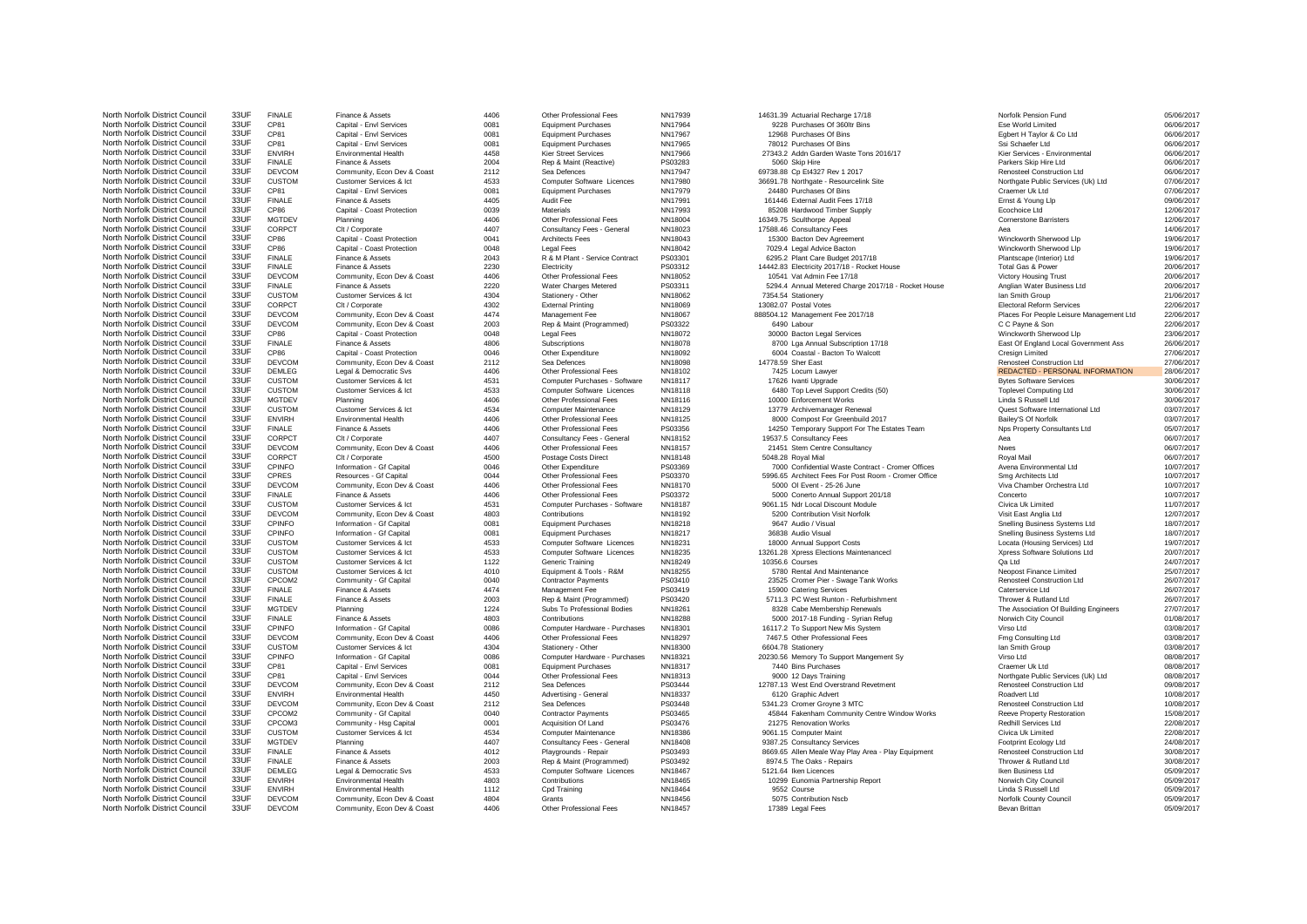| North Norfolk District Council                                   | 33UF         | F             |
|------------------------------------------------------------------|--------------|---------------|
| North Norfolk District Council                                   | 33UF         | С             |
| North Norfolk District Council<br>North Norfolk District Council | 33UF         | C             |
|                                                                  | 33UF         | C             |
| North Norfolk District Council                                   | 33UF<br>33UF | E             |
| North Norfolk District Council                                   | 33UF         | F             |
| North Norfolk District Council                                   |              | D             |
| North Norfolk District Council                                   | 33UF         | C<br>C        |
| North Norfolk District Council<br>North Norfolk District Council | 33UF<br>33UF |               |
|                                                                  |              | F             |
| North Norfolk District Council                                   | 33UF<br>33UF | $\frac{C}{M}$ |
| North Norfolk District Council                                   |              |               |
| North Norfolk District Council                                   | 33UF         | C             |
| North Norfolk District Council                                   | 33UF         | C             |
| North Norfolk District Council                                   | 33UF         | C             |
| North Norfolk District Council                                   | 33UF<br>33UF | F             |
| North Norfolk District Council                                   | 33UF         | F             |
| North Norfolk District Council<br>North Norfolk District Council | 33UF         | D<br>F        |
|                                                                  | 33UF         | C             |
| North Norfolk District Council<br>North Norfolk District Council | 33UF         | C             |
| North Norfolk District Council                                   | 33UF         | D             |
| North Norfolk District Council                                   | 33UF         | D             |
| North Norfolk District Council                                   | 33UF         | C             |
| North Norfolk District Council                                   | 33UF         | F             |
| North Norfolk District Council                                   | 33UF         | C             |
| North Norfolk District Council                                   | 33UF         | D             |
| North Norfolk District Council                                   | 33UF         | D             |
| North Norfolk District Council                                   | 33UF         | C             |
| North Norfolk District Council                                   | 33UF         | C             |
| North Norfolk District Council                                   | 33UF         | M             |
| North Norfolk District Council                                   | 33UF         | C             |
| North Norfolk District Council                                   | 33UF         | E             |
| North Norfolk District Council                                   | 33UF         | F             |
| North Norfolk District Council                                   | 33UF         | С             |
| North Norfolk District Council                                   | 33UF         | D             |
| North Norfolk District Council                                   | 33UF         | С             |
| North Norfolk District Council                                   | 33UF         | С             |
| North Norfolk District Council                                   | 33UF         | С             |
| North Norfolk District Council                                   | 33UF         | D             |
| North Norfolk District Council                                   | 33UF         | F             |
| North Norfolk District Council                                   | 33UF         | C             |
| North Norfolk District Council                                   | 33UF         | D             |
| North Norfolk District Council                                   | 33UF         | C             |
| North Norfolk District Council                                   | 33UF         | C             |
| North Norfolk District Council                                   | 33UF         |               |
| North Norfolk District Council                                   | 33UF         | C<br>C        |
| North Norfolk District Council                                   | 33UF         | C             |
| North Norfolk District Council                                   | 33UF         | $\mathsf{C}$  |
| North Norfolk District Council                                   | 33UF         | C             |
| North Norfolk District Council                                   | 33UF         | F             |
| North Norfolk District Council                                   | 33UF         | F             |
| North Norfolk District Council                                   | 33UF         | M             |
| North Norfolk District Council                                   | 33UF         | F             |
| North Norfolk District Council                                   | 33UF         | C             |
| North Norfolk District Council                                   | 33UF         | D             |
| North Norfolk District Council                                   | 33UF         | C             |
| North Norfolk District Council                                   | 33UF         |               |
| North Norfolk District Council                                   | 33UF         | c<br>C<br>C   |
| North Norfolk District Council                                   | 33UF         |               |
| North Norfolk District Council                                   | 33UF         | D             |
| North Norfolk District Council                                   | 33UF         | E             |
| North Norfolk District Council                                   | 33UF         | D             |
| North Norfolk District Council                                   | 33UF         | C             |
| North Norfolk District Council                                   | 33UF         | C             |
| North Norfolk District Council                                   | 33UF         | C             |
| North Norfolk District Council                                   | 33UF         | M             |
| North Norfolk District Council                                   | 33UF         | F             |
| North Norfolk District Council                                   | 33UF         | F             |
| North Norfolk District Council                                   | 33UF         | D             |
| North Norfolk District Council                                   | 33UF         | Е             |
| North Norfolk District Council                                   | 33UF         | Ε             |
| North Norfolk District Council                                   | 33UF         | D             |
| North Norfolk District Council                                   | 33LIE        | D             |

North Norfolk District Council 33UF FINALE Finance & Assets 4406 Other Professional Fees NN17939 14631.39 Actuarial Recharge 17/18 Norfolk Pension Fund 05/06/2017 North Norfolk District Council 33UF CP81 Capital Envl Services 0081 Equipment Purchases NN17964 9228 Purchases Of 360ltr Bins Ese World Limited Ese World Limited 06/06/2017 North Norfolk District Council 33UF CP81 Capital Envl Services 0081 Equipment Purchases NN17967 12968 Purchases Of Bins Egbert H Taylor & Co Ltd 06/06/2017 North Norfolk District Council 33UF CP81 Capital Envl Services 0081 Equipment Purchases NN17965 78012 Purchases Of Bins Ssi Schaefer Ltd Ssi Schaefer Ltd 06/06/2017 North Norfolk District Council 33UF ENVIRH Environmental Health 4458 Kier Street Services NN17966 27343.2 Addn Garden Waste Tons 2016/17 Kier Services Environmental 06/06/2017 North Norfolk District Council 33UF FINALE Finance & Assets 2004 Rep & Maint (Reactive) PS03283 5060 Skip Hire Parkers Parkers Skip Hire Ltd 06/06/2017 North Norfolk District Council 33UF DEVCOM Community, Econ Dev & Coast 2112 Sea Defences NN17947 69738.88 Cp Et4327 Rev 1 2017 Renosteel Construction Ltd 06/06/2017 North North North Assemble District Council 2012 Computer Software Licences NN17980 36691.78 Northgate - Resourcelink Site Northgate Public Services (Uk) Ltd 07/06/2017<br>- Northgate Public Services Although Services 20081 E North Norfolk District Council 33UF CP81 Capital Envl Services 0081 Equipment Purchases NN17979 24480 Purchases Of Bins Craemer Uk Ltd Craemer Uk Ltd 07/06/2017 North Norfolk District Council 33UF FINALE Finance & Assets 4405 Audit Fee NN17991 161446 External Audit Fees 17/18 Ernst & Young Llp 09/06/2017 North Norfolk District Council 33UF CP86 Capital - Coast Protection 0039 Materials NN17993 85208 Hardwood Timber Supply Ecochoice Ltd Ecochoice Ltd 12/06/2017 North Norfolk District Council 33UF MGTDEV Planning 4406 Other Professional Fees NN18004 16349.75 Sculthorpe Appeal Cornerstone Barristers 12/06/2017 North Norfolk District Council 33UF CORPCT Clt / Corporate 4407 Consultancy Fees - General NN18023 17588.46 Consultancy Fees Aea 14/06/2017 North Norfolk District Council 33UF CP86 Capital - Coast Protection 0041 Architects Fees NN18043 15300 Bacton Dev Agreement Winckworth Sherwood Llp 19/06/2017 North Norfolk District Council 33UF CP86 Capital - Coast Protection 0048 Legal Fees NN18042 7029.4 Legal Advice Bacton Winckworth Sherwood Llp 19/06/2017 North Norfolk District Council 33UF FINALE Finance & Assets 2043 R & M Plant - Service Contract PS03301 6295.2 Plant Care Budget 2017/18 Plantscape (Interior) Ltd 19/06/2017 North Norfolk District Council 33UF FINALE Finance & Assets 2230 Electricity PS03312 14442.83 Electricity PS03312 14442.83 Electricity 2017/18 - Rocket House Total Gas & Power 20/06/2017 North Norfolk District Council 33UF DEVCOM Community, Econ Dev & Coast 4406 Other Professional Fees NN18052 10541 Vat Admin Fee 17/18 Victory Housing Trust 20/06/2017 NALE Finance & Assets 2006/2017 2220 Water Charges Metered PS03311 5294.4 Annual Metered Charge 2017/18 - Rocket House Anglian Water Business Ltd 20/06/2017<br>- Annual Meter Annual Annual Annual Stationery - Other NN180622 North Norfolk District Council 33UF CUSTOM Customer Services & Ict 4304 Stationery - Other NN18062 7354.54 Stationery 21/06/2017 Ian Smith Group 21/06/2017 North Norfolk District Council 33UF CORPCT Clt / Corporate 4302 External Printing NN18069 13082.07 Postal Votes Electoral Reform Services 22/06/2017 North Norfolk District Council 33UF DEVCOM Community, Econ Dev & Coast 4474 Management Fee NN18067 888504.12 Management Fee 2017/18 Places For People Leisure Management Ltd 22/06/2017 North Norfolk District Council 33UF DEVCOM Community, Econ Dev & Coast 2003 Rep & Maint (Programmed) PS03322 6490 Labour 6490 Labour C C Payne & Son 22/06/2017 North Norfolk District Council 33UF CP86 Capital - Coast Protection 0048 Legal Fees NN18072 30000 Bacton Legal Services Winckworth Sherwood Llp 23/06/2017 North Norfolk District Council 33UF FINALE Finance & Assets 4806 Subscriptions NN18078 8700 Lga Annual Subscription 17/18 East Of England Local Government Ass 26/06/2017 North Norfolk District Council 33UF CP86 Capital - Coast Protection 0046 Other Expenditure NN18092 6004 Coastal - Bacton To Walcott Cresign Limited Cresign Limited 27/06/2017 North Norfolk District Council 33UF DEVCOM Community, Econ Dev & Coast 2112 Sea Defences NN18098 14778.59 Sher East Renosteel Construction Ltd 27/06/2017 North Norfolk District Council 33UF DEMLEG Legal & Democratic Svs 4406 Other Professional Fees NN18102 7425 Locum Lawyer 7425 Locum Lawyer REDACTED - PERSONAL INFORMATION 28/06/2017 North Norfolk District Council 33UF CUSTOM Customer Services & Ict 4531 Computer Purchases - Software NN18117 17626 Ivanti Upgrade Bytes Software Services 30/06/2017 North Norfolk District Council 33UF CUSTOM Customer Services & Ict 4533 Computer Software Licences NN18118 6480 Top Level Support Credits (50) Toplevel Computing Ltd 30/06/2017 North Norfolk District Council 33UF MGTDEV Planning 4406 Other Professional Fees NN18116 10000 Enforcement Works Linda S Russell Ltd 30/06/2017 North Norfolk District Council 33UF CUSTOM Customer Services & Ict 4534 Computer Maintenance NN18129 13779 Archivemanager Renewal Quest Software International Ltd 03/07/2017 North Norfolk District Council 33UF ENVIRH Environmental Health 4406 Other Professional Fees NN18125 8000 Compost For Greenbuild 2017 Bailey'S Of Norfolk District Council 33UF ENVIRH 03/07/2017 NORTH NORTH NORFOLK DISTRICT COUNCIL 2000 NORTH NORTH ON COUNCIL 23UF POSICIL 23UF PROGRESS PERSON PROGRESS PERSON DESCRIPTION CONSULTED THE ESTATES TEAM OF PROFESSION OF PROPERTY CONSULTANTS OF THE ESTATES CONSULTANTS OF North Norfolk District Council 33UF CORPCT Clt / Corporate 4407 Consultancy Fees - General NN18152 19537.5 Consultancy Fees Aea Aea Aea Aea C6/07/2017 North Norfolk District Council 33UF DEVCOM Community, Econ Dev & Coast 4406 Other Professional Fees NN18157 21451 Stem Centre Consultancy Nwes Nwes Nwes North Norfolk District Council 33UF CORPCT Clt / Corporate 4500 Postage Costs Direct NN18148 5048.28 Royal Mial Royal Mail 06/07/2017 North Norfolk District Council 23 North Norfolk District Council 23UF Council 23UF COUNCIL 23UF COUNCIL 23UF COUNCIL 23UF COUNCIL 23UF COUNCIL 23UF COUNCIL 23UF COUNCIL 23UF COUNCIL 23UF COUNCIL 23UF COUNCIL 23UF COUNCIL 2 Norfolk District Council 23UF Council 23UF Council 23UF Council 33UF Council 33UF Council 23UF Council 23UF Council 23UF COUNCIL ARCHITECT FEES PORT ARCHITECT FEES FOR PORT ARCHITECT FEES FOR PORT ARCHITECT ARCHITECTS LTD North Norfolk District Council 33UF DEVCOM Community, Econ Dev & Coast 4406 Other Professional Fees NN18170 5000 Ol Event - 25-26 June Viva Chamber Orchestra Ltd 10/07/2017 North Norfolk District Council 33UF FINALE Finance & Assets 4406 Other Professional Fees PS03372 5000 Conerto Annual Support 201/18 Concerto Concerto 10/07/2017 North Norfolk District Council 33UF CUSTOM Customer Services & Ict 4531 Computer Purchases - Software NN18187 9061.15 Ndr Local Discount Module Civica Uk Limited Civica Uk Limited 11/07/2017 North Norfolk District Council 33UF DEVCOM Community, Econ Dev & Coast 4803 Contributions NN18192 5200 Contribution Visit Norfolk Visit East Anglia Ltd 12/07/2017 North Norfolk District Council 33UF CPINFO Information - Gf Capital 0081 Equipment Purchases NN18218 9647 Audio / Visual Snelling Business Systems Ltd 18/07/2017 North Norfolk District Council 33UF CPINFO Information - Gf Capital 0081 Equipment Purchases NN18217 36838 Audio Visual Snelling Business Systems Ltd 18/07/2017 North Norfolk District Council 33UF CUSTOM Customer Services & Ict 4533 Computer Software Licences NN18231 18000 Annual Support Costs Locata (Housing Services) Ltd 19/07/2017 Norfolk District Council 2007/2017 - North Norfolk District Council 33UF Customer Services Activity Customer Services & Ict 4533 Computer Software Licences NN18235 13261.28 Xpress Elections Maintenancecl Xpress Software So North Norfolk District Council 33UF CUSTOM Customer Services & Ict 1122 Generic Training NN18249 10356.6 Courses Council Qa Ltd 24/07/2017 North Norfolk District Council 33UF CUSTOM Customer Services & Ict 4010 Equipment & Tools - R&M NN18255 5780 Rental And Maintenance Neopost Finance Neopost Finance Neopost Finance 25/07/2017 North Norfolk District Council 33UF CPCOM2 Community - Gf Capital 0040 Contractor Payments PS03410 23525 Cromer Pier - Swage Tank Works Renosteel Construction Ltd 26/07/2017 North Norfolk District Council 33UF FINALE Finance & Assets 4474 Management Fee PS03419 15900 Catering Services Caterservice Ltd 26/07/2017 North Norfolk District Council 33UF FINALE Finance & Assets 2003 Rep & Maint (Programmed) PS03420 5711.3 PC West Runton - Refurbishment Thrower & Rutland Ltd 26/07/2017 North Norfolk District Council 33UF MGTDEV Planning 1224 Subs To Professional Bodies NN18261 8328 Cabe Membership Renewals The Association Of Building Engineers 27/07/2017 NALE Finance & Assets 4803 Contributions NN18288 5000 2017-18 Funding - Syrian Refug Norwich City Council 20108/2017<br>Normation - Gf Capital 1996 Computer Hardware - Purchases NN18301 16117.2 To Support New Mis System Virso North Norfolk District Council 33UF CPINFO Information - Gf Capital 0086 Computer Hardware - Purchases NN18301 16117.2 To Support New Mis System Virso Ltd 03/08/2017 North Norfolk District Council 33UF DEVCOM Community, Econ Dev & Coast 4406 Other Professional Fees NN18297 7467.5 Other Professional Fees Fmg Consulting Ltd 13/08/2017 North Norfolk District Council 33UF CUSTOM Customer Services & Ict 4304 Stationery - Other NN18300 6604.78 Stationery Company Ian Smith Group 1308/2017 North North North Norfolk District Council 2006 Computer Hardware - Purchases NN18321 20230.56 Memory To Support Mangement Sy Virso Ltd Virso Ltd 08/08/2017 08/08/2017<br>- Capital From Services 20081 Equipment Purchases NN18 North Norfolk District Council 33UF CP81 Capital - Envl Services 0081 Equipment Purchases NN18317 7440 Bins Purchases Craemer Uk Ltd Craemer Uk Ltd 08/08/2017 North Norfolk District Council 33UF CP81 Capital Envl Services 0044 Other Professional Fees NN18313 9000 12 Days Training Northgate Public Services (Uk) Ltd 08/08/2017 North Norfolk District Council 33UF DEVCOM Community, Econ Dev & Coast 2112 Sea Defences PS03444 12787.13 West End Overstrand Revetment Renosteel Construction Ltd 09/08/2017 North Norfolk District Council 33UF ENVIRH Environmental Health 4450 Advertising - General NN18337 6120 Graphic Advert Advert Roadvert Ltd Roadvert Ltd 10/08/2017 North Norfolk District Council 33UF DEVCOM Community, Econ Dev & Coast 2112 Sea Defences PS03448 5341.23 Cromer Groyne 3 MTC Renosteel Construction Ltd 10/08/2017 NORT North Norfolk District Community - Grand District Contractor Payments PRO3465 2008/2017<br>North Norfolk District Contractor Payments Political Provides 221205/2017<br>North District 22/08/2017 2008/2017 2008/2017 2008/2017 North Norfolk District Council 33UF CPCOM3 Community - Hsg Capital 0001 Acquisition Of Land PS03476 21275 Renovation Works Redhill Services Ltd 22/08/2017 North Norfolk District Council 33UF CUSTOM Customer Services & Ict 4534 Computer Maintenance NN18386 9061.15 Computer Maint Civica Uk Limited Civica Uk Limited 22/08/2017 North Norfolk District Council 33UF MGTDEV Planning 2408/2017 4407 Consultancy Fees - General NN18408 9387.25 Consultancy Services Footprint Ecology Ltd Footprint Ecology Ltd 24/08/2017 NORTH NORFOLK DISTRICT COUNCIL DESCRIPTION OF COUNCIL DESCRIPTION OF COUNCIL DESCRIPTION OF PROGRESS ALLEN DESCRIPTION DESCRIPTION DESCRIPTION DESCRIPTION DESCRIPTION DESCRIPTION DESCRIPTION DESCRIPTION DESCRIPTION DESCRIP North Norfolk District Council 33UF FINALE Finance & Assets 2003 Rep & Maint (Programmed) PS03492 8974.5 The Oaks - Repairs Thrower & Rutland Ltd 30/08/2017 North Norfolk District Council 33UF DEMLEG Legal & Democratic Svs 4533 Computer Software Licences NN18467 5121.64 Iken Licences Icen and the Business Ltd Iken Business Ltd North Norfolk District Council 33UF ENVIRH Environmental Health 4803 Contributions NN18465 10299 Eunomia Partnership Report Norwich City Council Norwich City Council 05/09/2017 North Norfolk District Council 33UF ENVIRH Environmental Health 1112 Cpd Training NN18464 9552 Course Linda S Russell Ltd 05/09/2017 North Norfolk District Council 33UF DEVCOM Community, Econ Dev & Coast 4804 Grants MN18456 5075 Contribution Nscb 5009/2017 Norfolk County Council 33UF DEVCOM Community, Econ Dev & Coast 4804 Grants And Dev and Dev at An A

North Norfolk District Council 33UF DEVCOM Community, Econ Dev & Coast 4406 Other Professional Fees NN18457 17389 Legal Fees Sevan Brittan Bevan Brittan D5/09/2017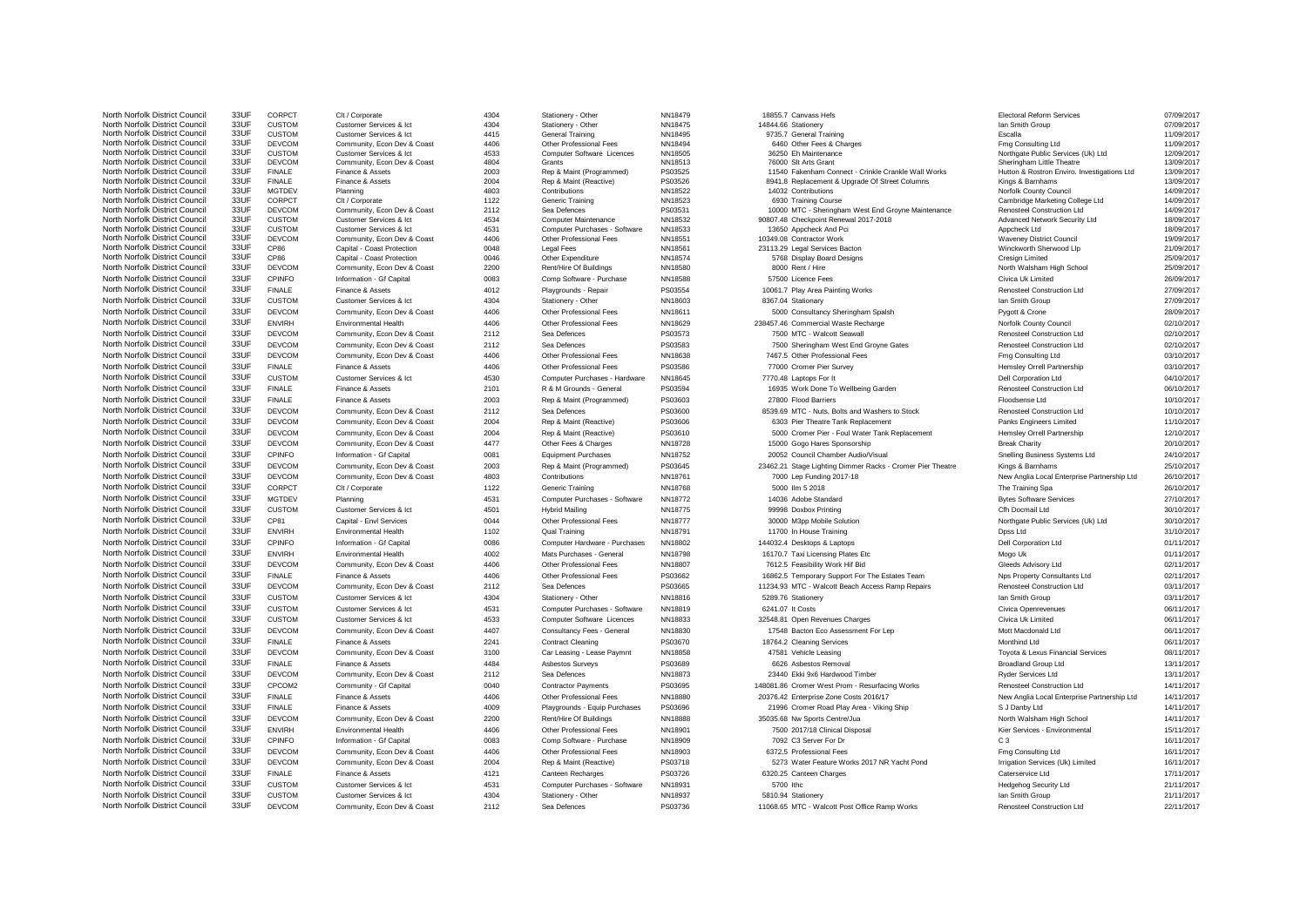| North Norfolk District Council                                   | 33UF         |
|------------------------------------------------------------------|--------------|
| North Norfolk District Council                                   | 33UF         |
| North Norfolk District Council<br>North Norfolk District Council | 33UF<br>33UF |
| North Norfolk District Council                                   | 33UF         |
| North Norfolk District Council                                   | 33UF         |
| North Norfolk District Council                                   | 33UF         |
| North Norfolk District Council                                   | 33UF         |
| North Norfolk District Council                                   | 33UF         |
| North Norfolk District Council                                   | 33UF         |
| North Norfolk District Council                                   | 33UF         |
| North Norfolk District Council                                   | 33UF         |
| North Norfolk District Council                                   | 33UF         |
| North Norfolk District Council                                   | 33UF         |
| North Norfolk District Council                                   | 33UF         |
| North Norfolk District Council                                   | 33UF         |
| North Norfolk District Council                                   | 33UF         |
| North Norfolk District Council                                   | 33UF         |
| North Norfolk District Council                                   | 33UF         |
| North Norfolk District Council                                   | 33UF         |
| North Norfolk District Council                                   | 33UF         |
| North Norfolk District Council                                   | 33UF         |
| North Norfolk District Council                                   | 33UF         |
| North Norfolk District Council                                   | 33UF         |
| North Norfolk District Council                                   | 33UF         |
| North Norfolk District Council                                   | 33UF         |
| North Norfolk District Council                                   | 33UF         |
| North Norfolk District Council                                   | 33UF         |
| North Norfolk District Council                                   | 33UF         |
| North Norfolk District Council                                   | 33UF         |
| North Norfolk District Council                                   | 33UF         |
| North Norfolk District Council                                   | 33UF         |
|                                                                  |              |
| North Norfolk District Council                                   | 33UF         |
| North Norfolk District Council                                   | 33UF         |
| North Norfolk District Council                                   | 33UF         |
| North Norfolk District Council                                   | 33UF         |
| North Norfolk District Council                                   | 33UF         |
| North Norfolk District Council                                   | 33UF         |
| North Norfolk District Council                                   | 33UF         |
| North Norfolk District Council                                   | 33UF         |
| North Norfolk District Council                                   | 33UF         |
| North Norfolk District Council                                   | 33UF         |
| North Norfolk District Council                                   | 33UF         |
| North Norfolk District Council                                   | 33UF         |
| North Norfolk District Council                                   | 33UF         |
| North Norfolk District Council                                   | 33UF         |
| North Norfolk District Council                                   | 33UF         |
| North Norfolk District Council                                   | 33UF         |
| North Norfolk District Council                                   | 33UF         |
| North Norfolk District Council                                   | 33UF         |
| North Norfolk District Council                                   | 33UF         |
| North Norfolk District Council                                   | 33UF         |
| North Norfolk District Council                                   | 33UF         |
| North Norfolk District Council                                   | 33UF         |
| North Norfolk District Council                                   | 33UF         |
| North Norfolk District Council                                   | 33UF         |
| North Norfolk District Council                                   | 33UF         |
| North Norfolk District Council                                   | 33UF         |
| North Norfolk District Council                                   | 33UF         |
| North Norfolk District Council                                   | 33UF         |
| North Norfolk District Council                                   | 33UF         |
| North Norfolk District Council                                   | 33UF         |
| North Norfolk District Council                                   |              |
|                                                                  | 33UF         |
| North Norfolk District Council                                   | 33UF         |
| North Norfolk District Council                                   | 33UF         |
| North Norfolk District Council                                   | 33UF         |

North Nortolk District Council 33UF CORPCT Clt / Corporate 4304 Stationery - Other NN18479 18855.7 Canvass Hefs Electoral Reform Services 07/09/2017 North Norfolk District Council 33UF CUSTOM Customer Services & Ict 4304 Stationery - Other NN18475 14844.66 Stationery International Coup and Smith Group 07/09/2017 North Norfolk District Council 33UF CUSTOM Customer Services & Ict 4415 General Training NN18495 9735.7 General Training Escalla 11/09/2017 North Norfolk District Council 33UF DEVCOM Community, Econ Dev & Coast 4406 Other Professional Fees NN18494 6460 Other Fees & Charges Fmg Consulting Ltd 11/09/2017 North Norfolk District Council 33UF CUSTOM Customer Services & Ict 4533 Computer Software Licences NN18505 36250 Eh Maintenance Northgate Public Services (Uk) Ltd 12/09/2017 North Norfolk District Council 33UF DEVCOM Community, Econ Dev & Coast 4804 Grants NN18513 76000 Slt Arts Grant Sheringham Little Theatre 13/09/2017 North Norfolk District Council 33UF FINALE Finance & Assets 2003 Rep & Maint (Programmed) PS03525 11540 Fakenham Connect - Crinkle Crankle Wall Works Hutton & Rostron Enviro. Investigations Ltd 13/09/2017 NORTH NORTH NORTH NORTH NORTH NORTH NORTH NORTH NORTH NORTH NORTH NORTH NORTH NORTH NORTH NORTH NORTH NORTH NO<br>North Assets 2004 Rep & Maint (Reactive) PS03526 8941.8 Replacement & Upgrade Of Street Columns Norfolk Council North Norfolk District Council 33UF MGTDEV Planning 4803 Contributions NN18522 14032 Contributions Norfolk County Council 14/09/2017 North Norfolk District Council 33UF CORPCT Clt / Corporate 1122 Generic Training NN18523 6930 Training Course Cambridge Marketing College Ltd 14/09/2017 North North North District Council 2008 North North District Council 2112 Sea Defences PS03531 10000 MTC - Sheringham West End Groyne Maintenance Renosteel Construction Ltd 14/09/2017<br>CUSTOM Customer Services & Ict 4534 Co North Norfolk District Council 33UF CUSTOM Customer Services & Ict 4534 Computer Maintenance NN18532 90807.48 Checkpoint Renewal 2017-2018 Advanced Network Security Ltd 18/09/2017 North Norfolk District Council 33UF CUSTOM Customer Services & Ict 4531 Computer Purchases - Software NN18533 13650 Appcheck And Pci Appcheck Ltd 18/09/2017 North Norfolk District Council 33UF DEVCOM Community, Econ Dev & Coast 4406 Other Professional Fees NN18551 10349.08 Contractor Work Waveney District Council Waveney District Council 19/09/2017 North Norfolk District Council 33UF CP86 Capital - Coast Protection 0048 Legal Fees NN18561 23113.29 Legal Services Bacton Winckworth Sherwood Llp 21/09/2017 North Norfolk District Council 33UF CP86 Capital - Coast Protection 0046 Other Expenditure NN18574 5768 Display Board Designs Cresign Limited 25/09/2017 North Norfolk District Council 33UF DEVCOM Community, Econ Dev & Coast 2200 Rent/Hire Of Buildings NN18580 8000 Rent / Hire North Walsham High School 25/09/2017 North Norfolk District Council 33UF CPINFO Information - Gf Capital 0083 Comp Software - Purchase NN18588 57500 Licence Fees Civica Uk Limited 26/09/2017 North Norfolk District Council 33UF FINALE Finance & Assets 4012 Playgrounds - Repair PS03554 10061.7 Play Area Painting Works Renosteel Construction Ltd 27/09/2017 North Norfolk District Council 33UF CUSTOM Customer Services & Ict 4304 Stationery - Other NN18603 8367.04 Stationary 27/09/2017 Ian Smith Group 27/09/2017 North Norfolk District Council 33UF DEVCOM Community, Econ Dev & Coast 4406 Other Professional Fees NN18611 5000 Consultancy Sheringham Spalsh Pygott & Crone 28/09/2017 North Norfolk District Council 33UF ENVIRH Environmental Health 4406 Other Professional Fees NN18629 238457.46 Commercial Waste Recharge Norfolk County Council 02/10/2017 North Norfolk District Council 33UF DEVCOM Community, Econ Dev & Coast 2112 Sea Defences PS03573 7500 MTC - Walcott Seawall Renosteel Construction Ltd 02/10/2017 North Norfolk District Council 33UF DEVCOM Community, Econ Dev & Coast 2112 Sea Defences PS03583 7500 Sheringham West End Groyne Gates Renosteel Construction Ltd 02/10/2017 North Norfolk District Council 33UF DEVCOM Community, Econ Dev & Coast 4406 Other Professional Fees NN18638 7467.5 Other Professional Fees Fmg Consulting Ltd 03/10/2017 North Norfolk District Council 33UF FINALE Finance & Assets 4406 Other Professional Fees PS03586 77000 Cromer Pier Survey Hemsley Orrell Partnership 03/10/2017 North Norfolk District Council 33UF CUSTOM Customer Services & Ict 4530 Computer Purchases - Hardware NN18645 7770.48 Laptops For It Componenties Dell Corporation Ltd D4/10/2017 North Norfolk District Council 33UF FINALE Finance & Assets 2101 R & M Grounds - General PS03594 16935 Work Done To Wellbeing Garden Renosteel Construction Ltd 06/10/2017 North Norfolk District Council 33UF FINALE Finance & Assets 2003 Rep & Maint (Programmed) PS03603 27800 Flood Barriers 2003 Plood Barriers Floodsense Ltd Floodsense Ltd North Norfolk District Council 33UF DEVCOM Community, Econ Dev & Coast 2112 Sea Defences PS03600 8539.69 MTC - Nuts, Bolts and Washers to Stock Renosteel Construction Ltd 10/10/2017 North Norfolk District Council 33UF DEVCOM Community, Econ Dev & Coast 2004 Rep & Maint (Reactive) PS03606 6303 Pier Theatre Tank Replacement Panks Engineers Limited 11/10/2017 North North North North North North North North District Council 33UF DEVCOM Community, Econ Dev & Coast 2010<br>North North North District Council 2017 2014 Press Charges NN18728 15000 Gogo Hares Sponsorship 12012 Break Char North Norfolk District Council 33UF DEVCOM Community, Econ Dev & Coast 4477 Other Fees & Charges NN18728 15000 Gogo Hares Sponsorship Break Charity 20/10/2017 North Norfolk District Council 33UF CPINFO Information - Gf Capital 0081 Equipment Purchases NN18752 20052 Council Chamber Audio/Visual Snelling Business Systems Ltd 24/10/2017 NEVCOM Community, Econ Dev & Coast 2003 Rep & Maint (Programmed) PS03645 23462.21 Stage Lighting Dimmer Racks - Cromer Pier Theatre Kings & Barnhams 25/10/2017 North Norfolk District Council 33UF DEVCOM Community, Econ Dev & Coast 4803 Contributions NN18761 7000 Lep Funding 2017-18 New Anglia Local Enterprise Partnership Ltd 26/10/2017 North Norfolk District Council 33UF CORPCT Clt / Corporate 1122 Generic Training NN18768 5000 Ilm 5 2018 The Training Spa 26/10/2017 North Norfolk District Council 33UF MGTDEV Planning 1992 14531 Computer Purchases - Software NN18772 14036 Adobe Standard 14036 Adobe Standard Bytes Software Services 27/10/2017 North Norfolk District Council 33UF CUSTOM Customer Services & Ict 4501 Hybrid Mailing NN18775 99998 Doxbox Printing Cfh Docmail Ltd S0/10/2017 North Norfolk District Council 33UF CP81 Capital Envl Services 0044 Other Professional Fees NN18777 30000 M3pp Mobile Solution Northgate Public Services (Uk) Ltd 30/10/2017 North Norfolk District Council 33UF ENVIRH Environmental Health 1102 Qual Training NN18791 11700 In House Training Dpss Ltd 31/10/2017 North Norfolk District Council 33UF CPINFO Information - Gf Capital 0086 Computer Hardware - Purchases NN18802 144032.4 Desktops & Laptops Dell Corporation Ltd 01/11/2017 North Norfolk District Council 33UF ENVIRH Environmental Health 4002 Mats Purchases - General NN18798 16170.7 Taxi Licensing Plates Etc Mogo Uk 01/11/2017 North Norfolk District Council 33UF DEVCOM Community, Econ Dev & Coast 4406 Other Professional Fees NN18807 7612.5 Feasibility Work Hif Bid Gleeds Advisory Ltd 02/11/2017 North North North District Council 3406 Other Professional Fees PS03662 16862.5 Temporary Support For The Estates Team Nps Property Consultants Ltd 02/11/2017 North North North Norfolk District Council 2012 Sea Defences PS03665 11234.93 MTC - Walcott Beach Access Ramp Repairs Renosteel Construction Ltd 03/11/2017<br>Custom Customer Services & Ict 4304 Stationery - Other NN18816 528 North Norfolk District Council 33UF CUSTOM Customer Services & Ict 4304 Stationery - Other NN18816 5289.76 Stationery Month District Council and Smith Group 03/11/2017 North Norfolk District Council 33UF CUSTOM Customer Services & Ict 4531 Computer Purchases - Software NN18819 6241.07 It Costs Computer Purchases - Software NN18819 6241.07 It Costs Computer Purchases Software NN18819 6241 North Norfolk District Council 33UF CUSTOM Customer Services & Ict 4533 Computer Software Licences NN18833 32548.81 Open Revenues Charges Civica Uk Limited Civica Uk Limited 06/11/2017 North North Norfolk District Council 2011 North Norfolk District Consultancy Fees - General NN18830 17548 Bacton Eco Assessment For Lep Morth Morth Morth Morth India 2011 1764 Bacton Eco Assessment For Lep Mott Morth India North Norfolk District Council 33UF FINALE Finance & Assets 2241 Contract Cleaning PS03670 18764.2 Cleaning Services Monthind Ltd Monthind Ltd 06/11/2017 North Norfolk District Council 33UF DEVCOM Community, Econ Dev & Coast 3100 Car Leasing - Lease Paymnt NN18858 47581 Vehicle Leasing Toyota & Lexus Financial Services 08/11/2017 North Norfolk District Council 33UF FINALE Finance & Assets 4484 Asbestos Surveys PS03689 6626 Asbestos Removal Broadland Group Ltd Broadland Group Ltd 13/11/2017 North Norfolk District Council 33UF DEVCOM Community, Econ Dev & Coast 2112 Sea Defences NN18873 23440 Ekki 9x6 Hardwood Timber Ryder Services Ltd 13/11/2017 North Norfolk District Council 23 North Norfolk District Council 23UF Council 33UF Council 2012 Council 2013<br>North North North American Contractor Payments Payments Payment Prom - And 14081.86 Cromer West Prom - Resurfacin NORTH NORTH NORTH NORTH NORTH NORTH NORTH NORTH NORTH NORTH NORTH NORTH NORTH NORTH AND THE SERVER AND THE SERVER AND THE SERVER AND 19017 1901 PURCHASES PRODUCER 2009 21996 Cromer Road Play Area - Viking Ship S J Danby Lt North Norfolk District Council 33UF DEVCOM Community, Econ Dev & Coast 2200 Rent/Hire Of Buildings NN18888 35035.68 Nw Sports Centre/Jua North Walsham High School 14/11/2017 North Norfolk District Council 33UF ENVIRH Environmental Health 4406 Other Professional Fees NN18901 7500 2017/18 Clinical Disposal Kier Services - Environmental 15/11/2017 North Norfolk District Council 33UF CPINFO Information - Gf Capital 0083 Comp Software - Purchase NN18909 7092 C3 Server For Dr C 3 16/11/2017 North Norfolk District Council 33UF DEVCOM Community, Econ Dev & Coast 4406 Other Professional Fees NN18903 6372.5 Professional Fees Fmg Consulting Ltd Fmg Consulting Ltd North North North North North Norfolk District Council 2004 Rep & Maint (Reactive) PS03718 5273 Water Feature Works 2017 NR Yacht Pond Irrigation Services (Uk) Limited 16/11/2017 17/11/2017 Canter Limited 17/11/2017 17/11/ North Norfolk District Council 33UF FINALE Finance & Assets 4121 Canteen Recharges PS03726 6320.25 Canteen Charges Caterservice Ltd 17/11/2017 North Norfolk District Council 33UF CUSTOM Customer Services & Ict 4531 Computer Purchases - Software NN18931 5700 Ithc 5700 Ithc Hedgehog Security Ltd 21/11/2017 North Norfolk District Council 33UF CUSTOM Customer Services & Ict 4304 Stationery - Other NN18937 5810.94 Stationery Customer Services And 21/11/2017 North North North North Access 2011 2017<br>
North North District Council 32011/2017<br>
PS03736 11068.65 MTC - Walcott Post Office Ramp Works Renosteel Construction Ltd 22/11/2017

New Anglia Local Enterprise Partnership Ltd